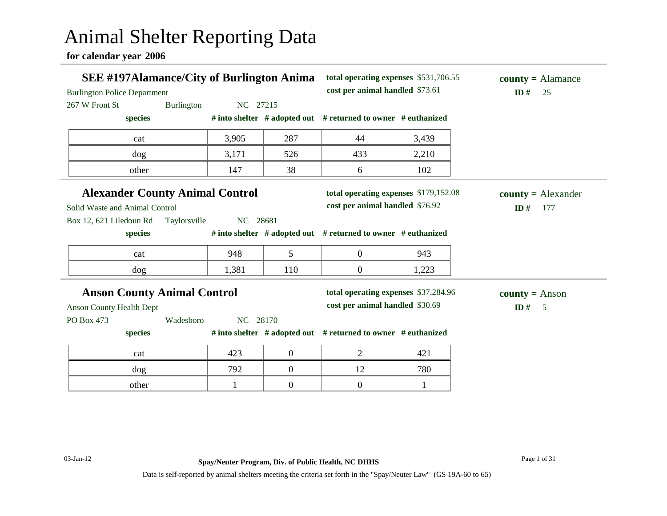# Animal Shelter Reporting Data

**for calendar year 2006**

| <b>SEE #197Alamance/City of Burlington Anima</b><br><b>Burlington Police Department</b> |              |          | total operating expenses \$531,706.55<br>cost per animal handled \$73.61 |                                                                         | $county = \text{Alamance}$<br>ID#<br>25 |                           |
|-----------------------------------------------------------------------------------------|--------------|----------|--------------------------------------------------------------------------|-------------------------------------------------------------------------|-----------------------------------------|---------------------------|
| 267 W Front St                                                                          | Burlington   | NC 27215 |                                                                          |                                                                         |                                         |                           |
| species                                                                                 |              |          |                                                                          | # into shelter # adopted out # returned to owner # euthanized           |                                         |                           |
| cat                                                                                     |              | 3,905    | 287                                                                      | 44                                                                      | 3,439                                   |                           |
| dog                                                                                     |              | 3,171    | 526                                                                      | 433                                                                     | 2,210                                   |                           |
| other                                                                                   |              | 147      | 38                                                                       | 6                                                                       | 102                                     |                           |
| <b>Alexander County Animal Control</b>                                                  |              |          |                                                                          | total operating expenses \$179,152.08                                   |                                         | $county = Alexander$      |
| Solid Waste and Animal Control                                                          |              |          |                                                                          | cost per animal handled \$76.92                                         |                                         | ID#<br>177                |
| Box 12, 621 Liledoun Rd                                                                 | Taylorsville | NC 28681 |                                                                          |                                                                         |                                         |                           |
| species                                                                                 |              |          |                                                                          | # into shelter # adopted out # returned to owner # euthanized           |                                         |                           |
| cat                                                                                     |              | 948      | $5\overline{)}$                                                          | $\overline{0}$                                                          | 943                                     |                           |
| dog                                                                                     |              | 1,381    | 110                                                                      | $\overline{0}$                                                          | 1,223                                   |                           |
| <b>Anson County Animal Control</b><br><b>Anson County Health Dept</b>                   |              |          |                                                                          | total operating expenses \$37,284.96<br>cost per animal handled \$30.69 |                                         | $county = Anson$<br>ID# 5 |
| PO Box 473                                                                              | Wadesboro    | NC 28170 |                                                                          |                                                                         |                                         |                           |
| species                                                                                 |              |          |                                                                          | # into shelter # adopted out # returned to owner # euthanized           |                                         |                           |
| cat                                                                                     |              | 423      | $\boldsymbol{0}$                                                         | $\overline{2}$                                                          | 421                                     |                           |
|                                                                                         |              | 792      | $\boldsymbol{0}$                                                         | 12                                                                      | 780                                     |                           |
| dog                                                                                     |              |          |                                                                          |                                                                         |                                         |                           |
| other                                                                                   |              | 1        | $\boldsymbol{0}$                                                         | $\overline{0}$                                                          | 1                                       |                           |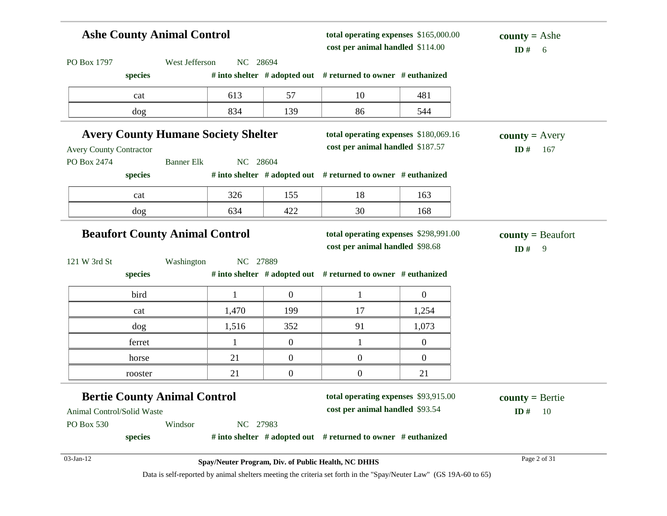| <b>Ashe County Animal Control</b>        |         |                                     |                                            |                  | total operating expenses \$165,000.00<br>cost per animal handled \$114.00 |                                 | <b>county</b> = Ashe<br>ID $#$<br>- 6 |
|------------------------------------------|---------|-------------------------------------|--------------------------------------------|------------------|---------------------------------------------------------------------------|---------------------------------|---------------------------------------|
| PO Box 1797                              |         | West Jefferson                      | NC 28694                                   |                  |                                                                           |                                 |                                       |
|                                          | species |                                     |                                            |                  | # into shelter $#$ adopted out $#$ returned to owner $#$ euthanized       |                                 |                                       |
|                                          | cat     |                                     | 613                                        | 57               | 10                                                                        | 481                             |                                       |
|                                          | dog     |                                     | 834                                        | 139              | 86                                                                        | 544                             |                                       |
|                                          |         |                                     | <b>Avery County Humane Society Shelter</b> |                  | total operating expenses \$180,069.16                                     |                                 | $county = Avery$                      |
| <b>Avery County Contractor</b>           |         |                                     |                                            |                  | cost per animal handled \$187.57                                          |                                 | ID#<br>167                            |
| PO Box 2474                              |         | <b>Banner Elk</b>                   | NC 28604                                   |                  |                                                                           |                                 |                                       |
|                                          | species |                                     |                                            |                  | # into shelter # adopted out # returned to owner # euthanized             |                                 |                                       |
|                                          | cat     |                                     | 326                                        | 155              | 18                                                                        | 163                             |                                       |
|                                          | dog     |                                     | 634                                        | 422              | 30                                                                        | 168                             |                                       |
|                                          |         |                                     | NC 27889                                   |                  |                                                                           | cost per animal handled \$98.68 | ID#<br>9                              |
|                                          | species | Washington                          |                                            |                  | # into shelter # adopted out # returned to owner # euthanized             |                                 |                                       |
|                                          | bird    |                                     | $\mathbf{1}$                               | $\overline{0}$   | $\mathbf{1}$                                                              | $\overline{0}$                  |                                       |
|                                          | cat     |                                     | 1,470                                      | 199              | 17                                                                        | 1,254                           |                                       |
|                                          | dog     |                                     | 1,516                                      | 352              | 91                                                                        | 1,073                           |                                       |
|                                          | ferret  |                                     | $\mathbf{1}$                               | $\overline{0}$   | $\mathbf{1}$                                                              | $\overline{0}$                  |                                       |
|                                          | horse   |                                     | 21                                         | $\boldsymbol{0}$ | $\boldsymbol{0}$                                                          | $\overline{0}$                  |                                       |
|                                          | rooster |                                     | 21                                         | $\overline{0}$   | $\overline{0}$                                                            | 21                              |                                       |
| 121 W 3rd St                             |         | <b>Bertie County Animal Control</b> |                                            |                  | total operating expenses \$93,915.00                                      |                                 | $county = Bertie$                     |
|                                          |         |                                     |                                            |                  | cost per animal handled \$93.54                                           |                                 | - 10<br>ID#                           |
| Animal Control/Solid Waste<br>PO Box 530 |         | Windsor                             | NC 27983                                   |                  |                                                                           |                                 |                                       |
|                                          | species |                                     |                                            |                  | # into shelter $#$ adopted out $#$ returned to owner $#$ euthanized       |                                 |                                       |
| 03-Jan-12                                |         |                                     |                                            |                  | Spay/Neuter Program, Div. of Public Health, NC DHHS                       |                                 | Page 2 of 31                          |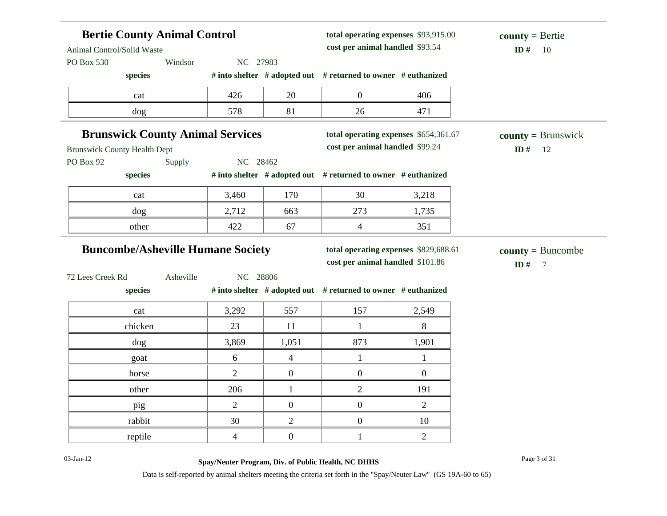| <b>Bertie County Animal Control</b><br>Animal Control/Solid Waste |                                          |                  | total operating expenses \$93,915.00<br>cost per animal handled \$93.54   |                | $county = Bertie$<br>ID#<br>-10               |
|-------------------------------------------------------------------|------------------------------------------|------------------|---------------------------------------------------------------------------|----------------|-----------------------------------------------|
| PO Box 530<br>species                                             | Windsor<br>NC 27983                      |                  | # into shelter # adopted out # returned to owner # euthanized             |                |                                               |
| cat                                                               | 426                                      | 20               | $\overline{0}$                                                            | 406            |                                               |
| dog                                                               | 578                                      | 81               | 26                                                                        | 471            |                                               |
| <b>Brunswick County Health Dept</b>                               | <b>Brunswick County Animal Services</b>  |                  | total operating expenses \$654,361.67<br>cost per animal handled \$99.24  |                | $county = Brunswick$<br>ID#<br>12             |
| PO Box 92<br>species                                              | NC 28462<br>Supply                       |                  | # into shelter # adopted out # returned to owner # euthanized             |                |                                               |
| cat                                                               | 3,460                                    | 170              | 30                                                                        | 3,218          |                                               |
| dog                                                               | 2,712                                    | 663              | 273                                                                       | 1,735          |                                               |
| other                                                             | 422                                      | 67               | $\overline{4}$                                                            | 351            |                                               |
|                                                                   | <b>Buncombe/Asheville Humane Society</b> |                  | total operating expenses \$829,688.61<br>cost per animal handled \$101.86 |                | $countv = Buncombe$<br>ID#<br>$7\phantom{.0}$ |
| 72 Lees Creek Rd<br>species                                       | Asheville<br>NC 28806                    |                  | # into shelter # adopted out # returned to owner # euthanized             |                |                                               |
| cat                                                               | 3,292                                    | 557              | 157                                                                       | 2,549          |                                               |
| chicken                                                           | 23                                       | 11               | $\mathbf{1}$                                                              | $8\,$          |                                               |
| dog                                                               | 3,869                                    | 1,051            | 873                                                                       | 1,901          |                                               |
| goat                                                              | 6                                        | $\overline{4}$   | $\mathbf{1}$                                                              | $\mathbf{1}$   |                                               |
| horse                                                             | 2                                        | $\boldsymbol{0}$ | $\overline{0}$                                                            | $\mathbf{0}$   |                                               |
| other                                                             | 206                                      | $\mathbf{1}$     | 2                                                                         | 191            |                                               |
| pig                                                               | $\overline{2}$                           | $\boldsymbol{0}$ | $\overline{0}$                                                            | $\mathbf{2}$   |                                               |
| rabbit                                                            | 30                                       | $\overline{2}$   | $\mathbf{0}$                                                              | 10             |                                               |
| reptile                                                           | $\overline{4}$                           | $\boldsymbol{0}$ | $\mathbf{1}$                                                              | $\overline{2}$ |                                               |
|                                                                   |                                          |                  |                                                                           |                |                                               |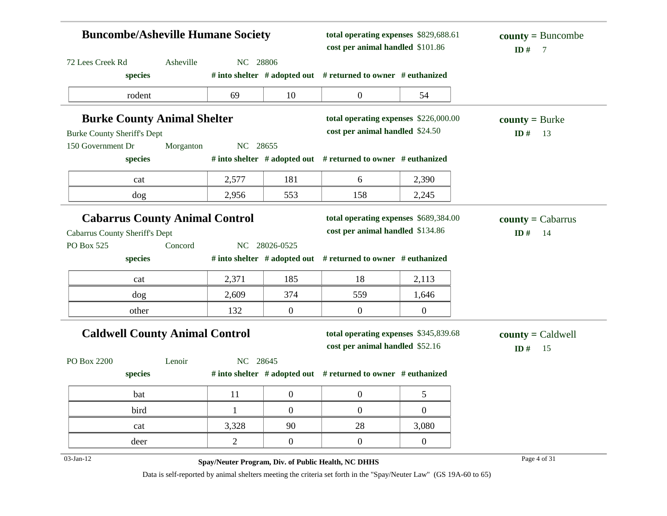| <b>Buncombe/Asheville Humane Society</b>                                       |           |                | total operating expenses \$829,688.61<br>cost per animal handled \$101.86 |                                                                           | $county = Buncombe$<br>ID#<br>$\overline{7}$ |                                  |
|--------------------------------------------------------------------------------|-----------|----------------|---------------------------------------------------------------------------|---------------------------------------------------------------------------|----------------------------------------------|----------------------------------|
| 72 Lees Creek Rd                                                               | Asheville | NC 28806       |                                                                           |                                                                           |                                              |                                  |
| species                                                                        |           |                |                                                                           | # into shelter # adopted out # returned to owner # euthanized             |                                              |                                  |
| rodent                                                                         |           | 69             | 10                                                                        | $\overline{0}$                                                            | 54                                           |                                  |
| <b>Burke County Animal Shelter</b>                                             |           |                |                                                                           | total operating expenses \$226,000.00                                     |                                              | $county = Burke$                 |
| <b>Burke County Sheriff's Dept</b>                                             |           |                |                                                                           | cost per animal handled \$24.50                                           |                                              | ID#<br>13                        |
| 150 Government Dr                                                              | Morganton | NC 28655       |                                                                           |                                                                           |                                              |                                  |
| species                                                                        |           |                |                                                                           | # into shelter # adopted out # returned to owner # euthanized             |                                              |                                  |
| cat                                                                            |           | 2,577          | 181                                                                       | 6                                                                         | 2,390                                        |                                  |
| $\log$                                                                         |           | 2,956          | 553                                                                       | 158                                                                       | 2,245                                        |                                  |
| <b>Cabarrus County Animal Control</b><br><b>Cabarrus County Sheriff's Dept</b> |           |                |                                                                           | total operating expenses \$689,384.00<br>cost per animal handled \$134.86 |                                              | $county = Cabarrus$<br>ID#<br>14 |
| PO Box 525                                                                     | Concord   |                | NC 28026-0525                                                             |                                                                           |                                              |                                  |
| species                                                                        |           |                |                                                                           | # into shelter # adopted out # returned to owner # euthanized             |                                              |                                  |
| cat                                                                            |           | 2,371          | 185                                                                       | 18                                                                        | 2,113                                        |                                  |
| $\log$                                                                         |           | 2,609          | 374                                                                       | 559                                                                       | 1,646                                        |                                  |
| other                                                                          |           | 132            | $\mathbf{0}$                                                              | $\overline{0}$                                                            | $\overline{0}$                               |                                  |
| <b>Caldwell County Animal Control</b>                                          |           |                | total operating expenses \$345,839.68<br>cost per animal handled \$52.16  |                                                                           | $county = Caldwell$<br>ID#<br>15             |                                  |
| PO Box 2200                                                                    | Lenoir    | NC 28645       |                                                                           |                                                                           |                                              |                                  |
| species                                                                        |           |                |                                                                           | # into shelter # adopted out # returned to owner # euthanized             |                                              |                                  |
| bat                                                                            |           | 11             | $\boldsymbol{0}$                                                          | $\overline{0}$                                                            | 5                                            |                                  |
| bird                                                                           |           | 1              | $\boldsymbol{0}$                                                          | $\overline{0}$                                                            | $\boldsymbol{0}$                             |                                  |
| cat                                                                            |           | 3,328          | 90                                                                        | 28                                                                        | 3,080                                        |                                  |
| deer                                                                           |           | $\overline{2}$ | $\overline{0}$                                                            | $\overline{0}$                                                            | $\overline{0}$                               |                                  |
| 03-Jan-12                                                                      |           |                |                                                                           | Spay/Neuter Program, Div. of Public Health, NC DHHS                       |                                              | Page 4 of 31                     |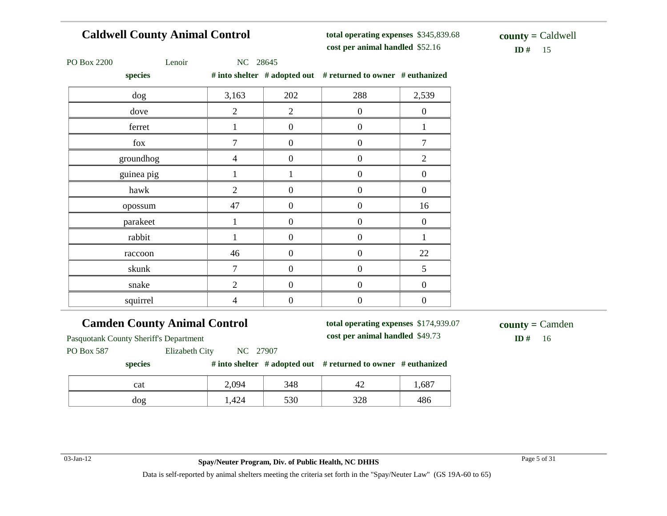#### **Caldwell County Animal Control**

**total operating expenses** \$345,839.68 **cost per animal handled**

 $ID# 15$ **county =** Caldwell

| PO Box 2200 |  |
|-------------|--|
|-------------|--|

Lenoir NC 28645

**species # into shelter # adopted out # returned to owner # euthanized**

| species    |                |                  | $\pi$ muy shence $\pi$ anopted out $\pi$ returned to owner $\pi$ equitainzed |                  |
|------------|----------------|------------------|------------------------------------------------------------------------------|------------------|
| dog        | 3,163          | 202              | 288                                                                          | 2,539            |
| dove       | $\overline{2}$ | $\overline{2}$   | $\boldsymbol{0}$                                                             | $\boldsymbol{0}$ |
| ferret     | 1              | $\mathbf{0}$     | $\overline{0}$                                                               |                  |
| fox        | 7              | $\overline{0}$   | $\boldsymbol{0}$                                                             |                  |
| groundhog  | $\overline{4}$ | $\overline{0}$   | $\overline{0}$                                                               | $\overline{2}$   |
| guinea pig | 1              | 1                | $\boldsymbol{0}$                                                             | $\boldsymbol{0}$ |
| hawk       | $\overline{2}$ | $\boldsymbol{0}$ | $\boldsymbol{0}$                                                             | $\boldsymbol{0}$ |
| opossum    | 47             | $\mathbf{0}$     | $\boldsymbol{0}$                                                             | 16               |
| parakeet   |                | $\boldsymbol{0}$ | $\boldsymbol{0}$                                                             | $\boldsymbol{0}$ |
| rabbit     |                | $\mathbf{0}$     | $\boldsymbol{0}$                                                             |                  |
| raccoon    | 46             | $\overline{0}$   | $\boldsymbol{0}$                                                             | 22               |
| skunk      | $\overline{7}$ | $\mathbf{0}$     | $\boldsymbol{0}$                                                             | 5                |
| snake      | $\overline{2}$ | $\overline{0}$   | $\overline{0}$                                                               | $\boldsymbol{0}$ |
| squirrel   | 4              | $\overline{0}$   | $\boldsymbol{0}$                                                             | $\boldsymbol{0}$ |

#### **Camden County Animal Control**

**total operating expenses** \$174,939.07 **cost per animal handled**

 $ID# 16$ **county =** Camden

Pasquotank County Sheriff's Department

PO Box 587 Elizabeth City NC 27907

#### **species # into shelter # adopted out # returned to owner # euthanized**

| cat    | 2,094        | 348 | 4<br>. .     | 1,687 |
|--------|--------------|-----|--------------|-------|
| $\log$ | 424<br>. 2 T | 530 | າາດ<br>ں ے ر | 486   |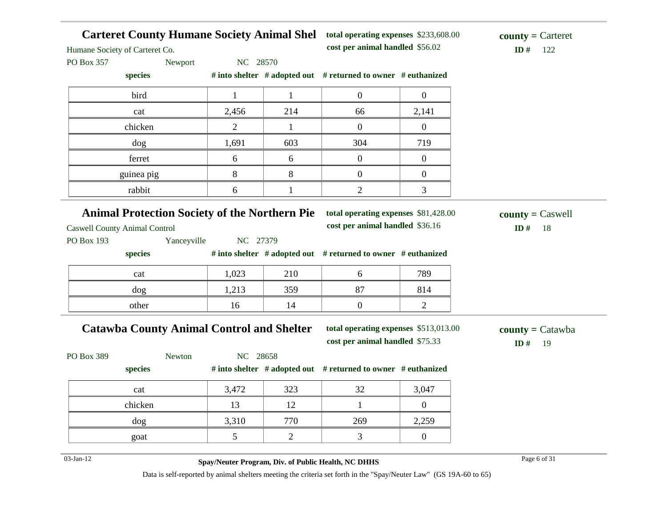**Carteret County Humane Society Animal Shel total operating expenses** \$233,608.00

**cost per animal handled** \$56.02 **ID #** 122 **county =** Carteret

Humane Society of Carteret Co.

PO Box 357 Newport NC 28570

**species # into shelter # adopted out # returned to owner # euthanized**

| bird       |       |     |     |       |
|------------|-------|-----|-----|-------|
| cat        | 2,456 | 214 | 66  | 2,141 |
| chicken    |       |     |     |       |
| dog        | 1,691 | 603 | 304 | 719   |
| ferret     | h     | n   |     |       |
| guinea pig |       |     |     |       |
| rabbit     |       |     |     |       |

#### **Animal Protection Society of the Northern Pie**

Caswell County Animal Control

**total operating expenses** \$81,428.00 **cost per animal handled**

\$36.16 **ID #** 18 **county =** Caswell

PO Box 193 Yanceyville NC 27379

**species # into shelter # adopted out # returned to owner # euthanized**

| cat   | 1,023 | 210 |    | 789 |
|-------|-------|-----|----|-----|
| dog   | 1,213 | 359 | 87 | 814 |
| other | 16    | 14  |    |     |

#### **Catawba County Animal Control and Shelter**

**total operating expenses** \$513,013.00 **cost per animal handled** \$75.33 **ID #** 19

**county =** Catawba

| PO Box 389 | Newton  | NC 28658 |     |                                                                     |       |
|------------|---------|----------|-----|---------------------------------------------------------------------|-------|
|            | species |          |     | # into shelter $#$ adopted out $#$ returned to owner $#$ euthanized |       |
|            | cat     | 3,472    | 323 | 32                                                                  | 3,047 |
|            | chicken | 13       | 12  |                                                                     |       |
|            | dog     | 3,310    | 770 | 269                                                                 | 2,259 |
|            | goat    |          |     |                                                                     |       |

03-Jan-12 Page 6 of 31 **Spay/Neuter Program, Div. of Public Health, NC DHHS**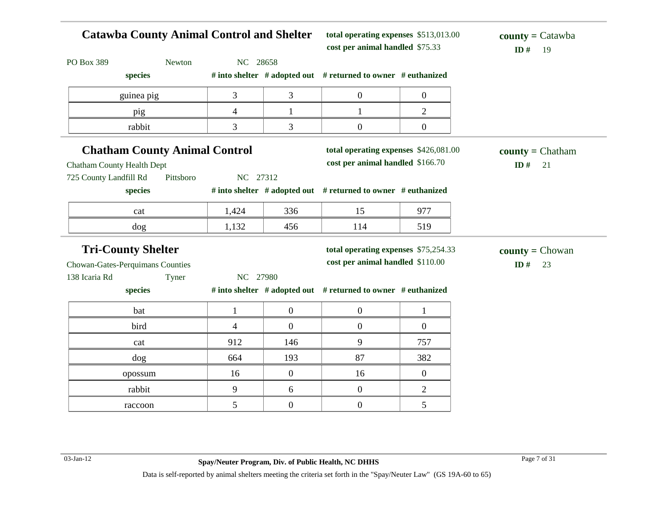| <b>Catawba County Animal Control and Shelter</b> |           |                |                  | total operating expenses \$513,013.00<br>cost per animal handled \$75.33 |                | $\text{county} = \text{Catawba}$<br>ID#<br>-19 |
|--------------------------------------------------|-----------|----------------|------------------|--------------------------------------------------------------------------|----------------|------------------------------------------------|
| PO Box 389                                       | Newton    | NC 28658       |                  |                                                                          |                |                                                |
| species                                          |           |                |                  | # into shelter # adopted out # returned to owner # euthanized            |                |                                                |
| guinea pig                                       |           | $\overline{3}$ | 3                | $\overline{0}$                                                           | $\overline{0}$ |                                                |
| pig                                              |           | $\overline{4}$ | $\mathbf{1}$     | $\mathbf{1}$                                                             | $\overline{2}$ |                                                |
| rabbit                                           |           | 3              | 3                | $\mathbf{0}$                                                             | $\overline{0}$ |                                                |
| <b>Chatham County Animal Control</b>             |           |                |                  | total operating expenses \$426,081.00                                    |                | $county = Chatham$                             |
| <b>Chatham County Health Dept</b>                |           |                |                  | cost per animal handled \$166.70                                         |                | ID#<br>21                                      |
| 725 County Landfill Rd                           | Pittsboro | NC 27312       |                  |                                                                          |                |                                                |
| species                                          |           |                |                  | # into shelter # adopted out # returned to owner # euthanized            |                |                                                |
| cat                                              |           | 1,424          | 336              | 15                                                                       | 977            |                                                |
| dog                                              |           | 1,132          | 456              | 114                                                                      | 519            |                                                |
| <b>Tri-County Shelter</b>                        |           |                |                  | total operating expenses \$75,254.33                                     |                | <b>county</b> = $Chowan$                       |
| Chowan-Gates-Perquimans Counties                 |           |                |                  | cost per animal handled \$110.00                                         |                | ID#<br>23                                      |
| 138 Icaria Rd                                    | Tyner     | NC 27980       |                  |                                                                          |                |                                                |
| species                                          |           |                |                  | # into shelter # adopted out # returned to owner # euthanized            |                |                                                |
| bat                                              |           | $\mathbf{1}$   | $\boldsymbol{0}$ | $\mathbf{0}$                                                             | $\mathbf{1}$   |                                                |
| bird                                             |           | $\overline{4}$ | $\overline{0}$   | $\overline{0}$                                                           | $\mathbf{0}$   |                                                |
| cat                                              |           | 912            | 146              | 9                                                                        | 757            |                                                |
| dog                                              |           | 664            | 193              | 87                                                                       | 382            |                                                |
| opossum                                          |           | 16             | $\overline{0}$   | 16                                                                       | $\overline{0}$ |                                                |
| rabbit                                           |           | 9              | 6                | $\overline{0}$                                                           | $\mathfrak{2}$ |                                                |
| raccoon                                          |           | 5              | $\overline{0}$   | $\overline{0}$                                                           | 5              |                                                |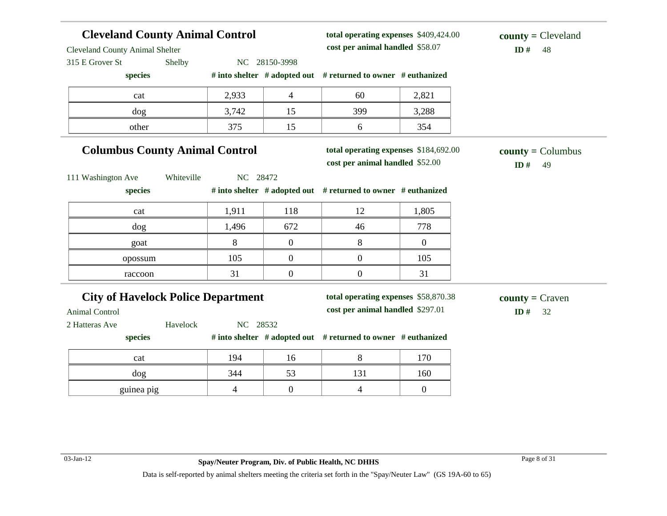#### **Cleveland County Animal Control** Cleveland County Animal Shelter 315 E Grover St Shelby NC 28150-3998 **species # into shelter # adopted out # returned to owner # euthanized total operating expenses** \$409,424.00 **cost per animal handled**  $ID# 48$ **county =** Cleveland cat 2,933 4 60 2,821 dog 3,742 15 399 3,288 other 15 15 6 354 **Columbus County Animal Control** 111 Washington Ave Whiteville NC 28472 **species # into shelter # adopted out # returned to owner # euthanized total operating expenses** \$184,692.00 **cost per animal handled** \$52.00 **ID #** 49 **county =** Columbus cat 1,911 118 12 1,805 dog 1,496 672 46 778 goat 1 8 0 8 0 opossum 105 0 0 105 raccoon  $31$  0 0 31 **City of Havelock Police Department** Animal Control 2 Hatteras Ave Havelock NC 28532 **species # into shelter # adopted out # returned to owner # euthanized total operating expenses** \$58,870.38 **cost per animal handled** \$297.01 **ID #** 32 **county =** Craven cat 194 16 8 170 dog 344 53 131 160 guinea pig  $\begin{array}{cccc} 4 & 0 & 4 \end{array}$  0 4 0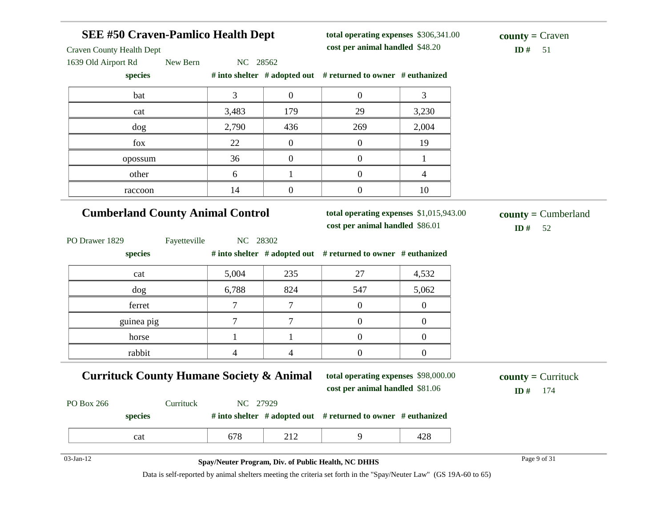| <b>SEE #50 Craven-Pamlico Health Dept</b><br><b>Craven County Health Dept</b> |                                                     |                  | total operating expenses \$306,341.00<br>cost per animal handled \$48.20   |                  | $county = Craven$<br>ID#<br>51     |
|-------------------------------------------------------------------------------|-----------------------------------------------------|------------------|----------------------------------------------------------------------------|------------------|------------------------------------|
| 1639 Old Airport Rd<br>New Bern<br>species                                    | NC 28562                                            |                  | # into shelter # adopted out # returned to owner # euthanized              |                  |                                    |
| bat                                                                           | $\overline{3}$                                      | $\boldsymbol{0}$ | $\overline{0}$                                                             | 3                |                                    |
| cat                                                                           | 3,483                                               | 179              | 29                                                                         | 3,230            |                                    |
| dog                                                                           | 2,790                                               | 436              | 269                                                                        | 2,004            |                                    |
| fox                                                                           | 22                                                  | $\boldsymbol{0}$ | $\overline{0}$                                                             | 19               |                                    |
| opossum                                                                       | 36                                                  | $\boldsymbol{0}$ | $\overline{0}$                                                             | $\mathbf{1}$     |                                    |
| other                                                                         | 6                                                   | 1                | $\overline{0}$                                                             | $\overline{4}$   |                                    |
| raccoon                                                                       | 14                                                  | $\boldsymbol{0}$ | $\boldsymbol{0}$                                                           | 10               |                                    |
| <b>Cumberland County Animal Control</b>                                       |                                                     |                  | total operating expenses \$1,015,943.00<br>cost per animal handled \$86.01 |                  | $county = Cumberland$<br>ID#<br>52 |
| PO Drawer 1829<br>Fayetteville<br>species                                     | NC 28302                                            |                  | # into shelter # adopted out # returned to owner # euthanized              |                  |                                    |
| cat                                                                           | 5,004                                               | 235              | 27                                                                         | 4,532            |                                    |
| dog                                                                           | 6,788                                               | 824              | 547                                                                        | 5,062            |                                    |
| ferret                                                                        | $\tau$                                              | 7                | $\overline{0}$                                                             | $\overline{0}$   |                                    |
| guinea pig                                                                    | $\overline{7}$                                      | $\tau$           | $\boldsymbol{0}$                                                           | $\boldsymbol{0}$ |                                    |
| horse                                                                         | $\mathbf{1}$                                        | $\mathbf{1}$     | $\boldsymbol{0}$                                                           | $\boldsymbol{0}$ |                                    |
| rabbit                                                                        | $\overline{4}$                                      | 4                | $\boldsymbol{0}$                                                           | $\overline{0}$   |                                    |
| <b>Currituck County Humane Society &amp; Animal</b>                           |                                                     |                  | total operating expenses \$98,000.00<br>cost per animal handled \$81.06    |                  | $county = Currituck$<br>ID#<br>174 |
| Currituck<br>PO Box 266<br>species                                            | NC 27929                                            |                  | # into shelter # adopted out # returned to owner # euthanized              |                  |                                    |
| cat                                                                           | 678                                                 | 212              | 9                                                                          | 428              |                                    |
| $03$ -Jan-12                                                                  | Spay/Neuter Program, Div. of Public Health, NC DHHS |                  |                                                                            |                  | Page 9 of 31                       |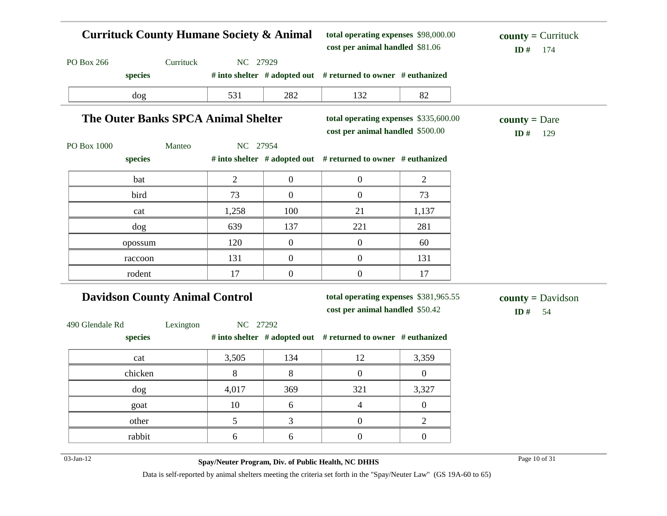| <b>Currituck County Humane Society &amp; Animal</b> |           |                |              | total operating expenses \$98,000.00<br>cost per animal handled \$81.06   |                  | $county = Currituck$<br>ID#<br>174      |
|-----------------------------------------------------|-----------|----------------|--------------|---------------------------------------------------------------------------|------------------|-----------------------------------------|
| PO Box 266                                          | Currituck | NC 27929       |              |                                                                           |                  |                                         |
| species                                             |           |                |              | # into shelter # adopted out # returned to owner # euthanized             |                  |                                         |
| dog                                                 |           | 531            | 282          | 132                                                                       | 82               |                                         |
| <b>The Outer Banks SPCA Animal Shelter</b>          |           |                |              | total operating expenses \$335,600.00<br>cost per animal handled \$500.00 |                  | $county = Dare$<br>ID#<br>129           |
| PO Box 1000                                         | Manteo    | NC 27954       |              |                                                                           |                  |                                         |
| species                                             |           |                |              | # into shelter # adopted out # returned to owner # euthanized             |                  |                                         |
| bat                                                 |           | $\overline{2}$ | $\mathbf{0}$ | $\boldsymbol{0}$                                                          | $\overline{2}$   |                                         |
| bird                                                |           | 73             | $\mathbf{0}$ | $\boldsymbol{0}$                                                          | 73               |                                         |
| cat                                                 |           | 1,258          | 100          | 21                                                                        | 1,137            |                                         |
| dog                                                 |           | 639            | 137          | 221                                                                       | 281              |                                         |
| opossum                                             |           | 120            | $\mathbf{0}$ | $\mathbf{0}$                                                              | 60               |                                         |
| raccoon                                             |           | 131            | $\mathbf{0}$ | $\mathbf{0}$                                                              | 131              |                                         |
| rodent                                              |           | 17             | $\mathbf{0}$ | $\boldsymbol{0}$                                                          | 17               |                                         |
| <b>Davidson County Animal Control</b>               |           |                |              | total operating expenses \$381,965.55<br>cost per animal handled \$50.42  |                  | $county = \text{Davidson}$<br>ID#<br>54 |
| 490 Glendale Rd<br>species                          | Lexington | NC 27292       |              | # into shelter # adopted out # returned to owner # euthanized             |                  |                                         |
| cat                                                 |           | 3,505          | 134          | 12                                                                        | 3,359            |                                         |
| chicken                                             |           | $\,8\,$        | 8            | $\mathbf{0}$                                                              | $\overline{0}$   |                                         |
| dog                                                 |           | 4,017          | 369          | 321                                                                       | 3,327            |                                         |
| goat                                                |           | 10             | 6            | $\overline{4}$                                                            | $\overline{0}$   |                                         |
| other                                               |           | 5              | 3            | $\boldsymbol{0}$                                                          | $\overline{2}$   |                                         |
| rabbit                                              |           | 6              | 6            | $\overline{0}$                                                            | $\boldsymbol{0}$ |                                         |

03-Jan-12 Page 10 of 31 **Spay/Neuter Program, Div. of Public Health, NC DHHS**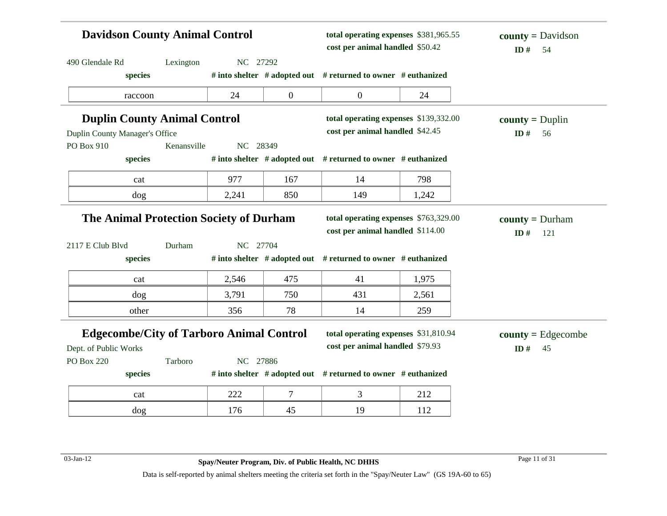|                                                                          | <b>Davidson County Animal Control</b><br>total operating expenses \$381,965.55<br>cost per animal handled \$50.42 |          |                  | $county = \text{Davidson}$<br>ID#<br>54                                   |       |                                        |
|--------------------------------------------------------------------------|-------------------------------------------------------------------------------------------------------------------|----------|------------------|---------------------------------------------------------------------------|-------|----------------------------------------|
| 490 Glendale Rd                                                          | Lexington                                                                                                         | NC 27292 |                  |                                                                           |       |                                        |
| species                                                                  |                                                                                                                   |          |                  | # into shelter # adopted out # returned to owner # euthanized             |       |                                        |
| raccoon                                                                  |                                                                                                                   | 24       | $\boldsymbol{0}$ | $\overline{0}$                                                            | 24    |                                        |
| <b>Duplin County Animal Control</b>                                      |                                                                                                                   |          |                  | total operating expenses \$139,332.00                                     |       | $county = Duplin$                      |
| Duplin County Manager's Office                                           |                                                                                                                   |          |                  | cost per animal handled \$42.45                                           |       | ID#<br>56                              |
| PO Box 910                                                               | Kenansville                                                                                                       | NC 28349 |                  |                                                                           |       |                                        |
| species                                                                  |                                                                                                                   |          |                  | # into shelter # adopted out # returned to owner # euthanized             |       |                                        |
| cat                                                                      |                                                                                                                   | 977      | 167              | 14                                                                        | 798   |                                        |
| dog                                                                      |                                                                                                                   | 2,241    | 850              | 149                                                                       | 1,242 |                                        |
| <b>The Animal Protection Society of Durham</b>                           |                                                                                                                   |          |                  | total operating expenses \$763,329.00<br>cost per animal handled \$114.00 |       | <b>county</b> = $Durham$<br>ID#<br>121 |
| 2117 E Club Blvd                                                         | Durham                                                                                                            | NC 27704 |                  |                                                                           |       |                                        |
| species                                                                  |                                                                                                                   |          |                  | # into shelter # adopted out # returned to owner # euthanized             |       |                                        |
| cat                                                                      |                                                                                                                   | 2,546    | 475              | 41                                                                        | 1,975 |                                        |
| dog                                                                      |                                                                                                                   | 3,791    | 750              | 431                                                                       | 2,561 |                                        |
| other                                                                    |                                                                                                                   | 356      | 78               | 14                                                                        | 259   |                                        |
| <b>Edgecombe/City of Tarboro Animal Control</b><br>Dept. of Public Works |                                                                                                                   |          |                  | total operating expenses \$31,810.94<br>cost per animal handled \$79.93   |       | $county = Edgecombe$<br>ID#<br>45      |
| <b>PO Box 220</b>                                                        | Tarboro                                                                                                           | NC 27886 |                  |                                                                           |       |                                        |
| species                                                                  |                                                                                                                   |          |                  | # into shelter # adopted out # returned to owner # euthanized             |       |                                        |
| cat                                                                      |                                                                                                                   | 222      | $\tau$           | 3                                                                         | 212   |                                        |
| dog                                                                      |                                                                                                                   | 176      | 45               | 19                                                                        | 112   |                                        |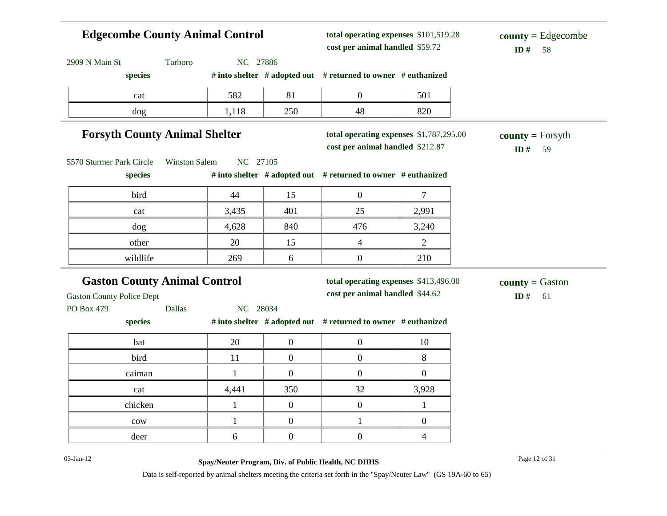# **Edgecombe County Animal Control**

**total operating expenses** \$101,519.28 **cost per animal handled**

 $ID# 58$ **county =** Edgecombe

| 2909 N Main St                                 | Tarboro<br>NC 27886                                       |                  |                                                                             |                |                                     |
|------------------------------------------------|-----------------------------------------------------------|------------------|-----------------------------------------------------------------------------|----------------|-------------------------------------|
| species                                        |                                                           |                  | # into shelter # adopted out # returned to owner # euthanized               |                |                                     |
| cat                                            | 582                                                       | 81               | $\overline{0}$                                                              | 501            |                                     |
| dog                                            | 1,118                                                     | 250              | 48                                                                          | 820            |                                     |
|                                                | <b>Forsyth County Animal Shelter</b>                      |                  | total operating expenses \$1,787,295.00<br>cost per animal handled \$212.87 |                | $county = Forsyth$<br>ID#<br>59     |
| 5570 Sturmer Park Circle<br>species            | NC 27105<br><b>Winston Salem</b>                          |                  | # into shelter # adopted out # returned to owner # euthanized               |                |                                     |
| bird                                           | 44                                                        | 15               | $\overline{0}$                                                              | $\overline{7}$ |                                     |
| cat                                            | 3,435                                                     | 401              | 25                                                                          | 2,991          |                                     |
| dog                                            | 4,628                                                     | 840              | 476                                                                         | 3,240          |                                     |
|                                                |                                                           |                  |                                                                             |                |                                     |
| other                                          | 20                                                        | 15               | $\overline{4}$                                                              | $\overline{2}$ |                                     |
| wildlife                                       | 269                                                       | 6                | $\overline{0}$                                                              | 210            |                                     |
| <b>Gaston County Police Dept</b><br>PO Box 479 | <b>Gaston County Animal Control</b><br>Dallas<br>NC 28034 |                  | total operating expenses \$413,496.00<br>cost per animal handled \$44.62    |                | <b>county</b> = Gaston<br>ID#<br>61 |
| species                                        |                                                           |                  | # into shelter # adopted out # returned to owner # euthanized               |                |                                     |
| bat                                            | 20                                                        | $\boldsymbol{0}$ | $\boldsymbol{0}$                                                            | 10             |                                     |
| bird                                           | 11                                                        | $\overline{0}$   | $\boldsymbol{0}$                                                            | 8              |                                     |
| caiman                                         | $\mathbf{1}$                                              | $\mathbf{0}$     | $\boldsymbol{0}$                                                            | $\overline{0}$ |                                     |
| cat                                            | 4,441                                                     | 350              | 32                                                                          | 3,928          |                                     |
| chicken                                        | $\mathbf{1}$                                              | $\overline{0}$   | $\boldsymbol{0}$                                                            | $\mathbf{1}$   |                                     |
| cow                                            | $\mathbf{1}$                                              | $\overline{0}$   | $\mathbf{1}$                                                                | $\overline{0}$ |                                     |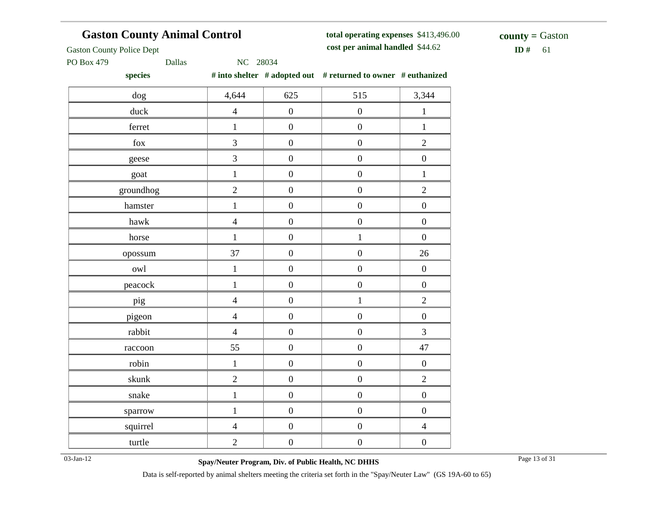## **Gaston County Animal Control**

**total operating expenses** \$413,496.00 **cost per animal handled**

 $$ **county =** Gaston

Gaston County Police Dept

PO Box 479 Dallas NC 28034

**species # into shelter # adopted out # returned to owner # euthanized**

| ------                     |                |                  |                  |                  |
|----------------------------|----------------|------------------|------------------|------------------|
| dog                        | 4,644          | 625              | 515              | 3,344            |
| duck                       | $\overline{4}$ | $\boldsymbol{0}$ | $\boldsymbol{0}$ | $\,1$            |
| ferret                     | $\mathbf{1}$   | $\boldsymbol{0}$ | $\boldsymbol{0}$ | $\,1\,$          |
| ${\rm fox}$                | 3              | $\boldsymbol{0}$ | $\boldsymbol{0}$ | $\sqrt{2}$       |
| geese                      | $\overline{3}$ | $\boldsymbol{0}$ | $\boldsymbol{0}$ | $\boldsymbol{0}$ |
| goat                       | $\mathbf{1}$   | $\boldsymbol{0}$ | $\overline{0}$   | $\,1$            |
| groundhog                  | $\overline{2}$ | $\boldsymbol{0}$ | $\boldsymbol{0}$ | $\overline{2}$   |
| hamster                    | $\mathbf{1}$   | $\boldsymbol{0}$ | $\boldsymbol{0}$ | $\boldsymbol{0}$ |
| $\ensuremath{\text{hawk}}$ | $\overline{4}$ | $\boldsymbol{0}$ | $\boldsymbol{0}$ | $\boldsymbol{0}$ |
| horse                      | $\,1$          | $\boldsymbol{0}$ | $\,1$            | $\boldsymbol{0}$ |
| opossum                    | 37             | $\boldsymbol{0}$ | $\boldsymbol{0}$ | 26               |
| owl                        | $\mathbf{1}$   | $\boldsymbol{0}$ | $\boldsymbol{0}$ | $\boldsymbol{0}$ |
| peacock                    | $\mathbf{1}$   | $\boldsymbol{0}$ | $\boldsymbol{0}$ | $\boldsymbol{0}$ |
| pig                        | $\overline{4}$ | $\boldsymbol{0}$ | $\mathbf 1$      | $\overline{2}$   |
| pigeon                     | $\overline{4}$ | $\boldsymbol{0}$ | $\boldsymbol{0}$ | $\boldsymbol{0}$ |
| rabbit                     | $\overline{4}$ | $\boldsymbol{0}$ | $\boldsymbol{0}$ | 3                |
| raccoon                    | 55             | $\boldsymbol{0}$ | $\boldsymbol{0}$ | $47\,$           |
| robin                      | $\,1$          | $\boldsymbol{0}$ | $\boldsymbol{0}$ | $\boldsymbol{0}$ |
| skunk                      | $\overline{c}$ | $\boldsymbol{0}$ | $\boldsymbol{0}$ | $\overline{c}$   |
| snake                      | $\mathbf{1}$   | $\boldsymbol{0}$ | $\boldsymbol{0}$ | $\boldsymbol{0}$ |
| sparrow                    | $\mathbf{1}$   | $\boldsymbol{0}$ | $\boldsymbol{0}$ | $\boldsymbol{0}$ |
| squirrel                   | $\overline{4}$ | $\boldsymbol{0}$ | $\boldsymbol{0}$ | $\overline{4}$   |
| turtle                     | $\sqrt{2}$     | $\boldsymbol{0}$ | $\boldsymbol{0}$ | $\boldsymbol{0}$ |
|                            |                |                  |                  |                  |

03-Jan-12 Page 13 of 31 **Spay/Neuter Program, Div. of Public Health, NC DHHS**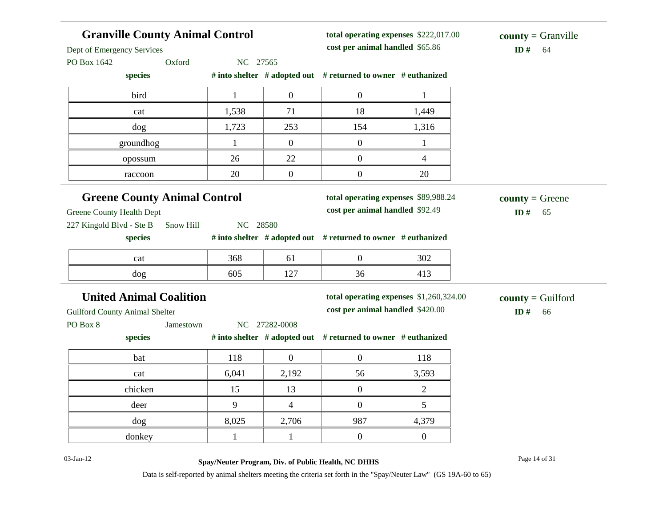| <b>Granville County Animal Control</b><br>Dept of Emergency Services |              |                  | total operating expenses \$222,017.00<br>cost per animal handled \$65.86    | $county = Granville$<br>ID#<br>64 |                                     |
|----------------------------------------------------------------------|--------------|------------------|-----------------------------------------------------------------------------|-----------------------------------|-------------------------------------|
| Oxford<br>PO Box 1642                                                | NC 27565     |                  |                                                                             |                                   |                                     |
| species                                                              |              |                  | # into shelter # adopted out # returned to owner # euthanized               |                                   |                                     |
| bird                                                                 | $\mathbf{1}$ | $\boldsymbol{0}$ | $\boldsymbol{0}$                                                            | $\mathbf{1}$                      |                                     |
| cat                                                                  | 1,538        | 71               | 18                                                                          | 1,449                             |                                     |
| dog                                                                  | 1,723        | 253              | 154                                                                         | 1,316                             |                                     |
| groundhog                                                            | $\mathbf{1}$ | $\overline{0}$   | $\boldsymbol{0}$                                                            | $\mathbf{1}$                      |                                     |
| opossum                                                              | 26           | 22               | $\boldsymbol{0}$                                                            | 4                                 |                                     |
| raccoon                                                              | 20           | $\boldsymbol{0}$ | $\boldsymbol{0}$                                                            | 20                                |                                     |
| <b>Greene County Animal Control</b>                                  |              |                  | total operating expenses \$89,988.24                                        |                                   | $county = Green$                    |
| Greene County Health Dept                                            |              |                  | cost per animal handled \$92.49                                             |                                   | ID#<br>65                           |
| 227 Kingold Blvd - Ste B<br>Snow Hill                                | NC 28580     |                  |                                                                             |                                   |                                     |
|                                                                      |              |                  |                                                                             |                                   |                                     |
| species                                                              |              |                  | # into shelter # adopted out # returned to owner # euthanized               |                                   |                                     |
| cat                                                                  | 368          | 61               | $\boldsymbol{0}$                                                            | 302                               |                                     |
| dog                                                                  | 605          | 127              | 36                                                                          | 413                               |                                     |
|                                                                      |              |                  |                                                                             |                                   |                                     |
| <b>United Animal Coalition</b>                                       |              |                  | total operating expenses \$1,260,324.00<br>cost per animal handled \$420.00 |                                   | $county =$ Guilford<br>ID $#$<br>66 |
| Jamestown                                                            |              | NC 27282-0008    |                                                                             |                                   |                                     |
| species                                                              |              |                  | # into shelter # adopted out # returned to owner # euthanized               |                                   |                                     |
| <b>Guilford County Animal Shelter</b><br>PO Box 8<br>bat             | 118          | $\boldsymbol{0}$ | $\boldsymbol{0}$                                                            | 118                               |                                     |
| cat                                                                  | 6,041        | 2,192            | 56                                                                          | 3,593                             |                                     |
| chicken                                                              | 15           | 13               | $\boldsymbol{0}$                                                            | 2                                 |                                     |
| deer                                                                 | 9            | 4                | $\theta$                                                                    | 5                                 |                                     |
| dog                                                                  | 8,025        | 2,706            | 987                                                                         | 4,379                             |                                     |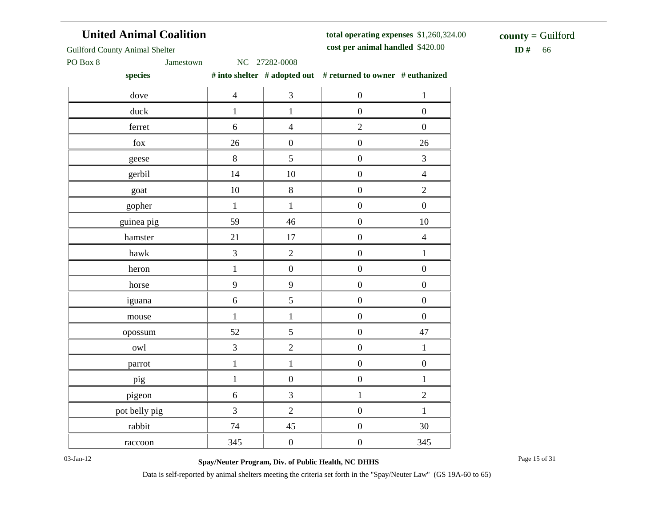#### **United Animal Coalition**

**total operating expenses** \$1,260,324.00 **cost per animal handled**

 $ID# 66$ **county =** Guilford

Guilford County Animal Shelter

PO Box 8 Jamestown NC 27282-0008

**species # into shelter # adopted out # returned to owner # euthanized**

| species       |                |                         | $\pi$ mw shence $\pi$ adopted out $\pi$ returned to owner $\pi$ cumamized |                  |
|---------------|----------------|-------------------------|---------------------------------------------------------------------------|------------------|
| dove          | $\overline{4}$ | $\mathfrak{Z}$          | $\boldsymbol{0}$                                                          | $\mathbf 1$      |
| duck          | $\mathbf{1}$   | $\,1$                   | $\boldsymbol{0}$                                                          | $\boldsymbol{0}$ |
| ferret        | $\sqrt{6}$     | $\overline{4}$          | $\overline{2}$                                                            | $\boldsymbol{0}$ |
| ${\rm fox}$   | 26             | $\boldsymbol{0}$        | $\boldsymbol{0}$                                                          | 26               |
| geese         | 8              | 5                       | $\boldsymbol{0}$                                                          | 3                |
| gerbil        | 14             | 10                      | $\boldsymbol{0}$                                                          | $\overline{4}$   |
| goat          | $10\,$         | $8\,$                   | $\boldsymbol{0}$                                                          | $\sqrt{2}$       |
| gopher        | $\mathbf{1}$   | $\,1\,$                 | $\boldsymbol{0}$                                                          | $\boldsymbol{0}$ |
| guinea pig    | 59             | 46                      | $\boldsymbol{0}$                                                          | $10\,$           |
| hamster       | 21             | $17\,$                  | $\boldsymbol{0}$                                                          | $\overline{4}$   |
| hawk          | 3              | $\overline{2}$          | $\boldsymbol{0}$                                                          | $\,1\,$          |
| heron         | $\mathbf 1$    | $\boldsymbol{0}$        | $\boldsymbol{0}$                                                          | $\boldsymbol{0}$ |
| horse         | 9              | 9                       | $\boldsymbol{0}$                                                          | $\boldsymbol{0}$ |
| iguana        | $\sqrt{6}$     | 5                       | $\boldsymbol{0}$                                                          | $\boldsymbol{0}$ |
| mouse         | $\mathbf 1$    | $\mathbf 1$             | $\boldsymbol{0}$                                                          | $\boldsymbol{0}$ |
| opossum       | 52             | 5                       | $\boldsymbol{0}$                                                          | 47               |
| owl           | $\overline{3}$ | $\overline{c}$          | $\boldsymbol{0}$                                                          | $\mathbf 1$      |
| parrot        | $\,1$          | $\,1$                   | $\boldsymbol{0}$                                                          | $\boldsymbol{0}$ |
| pig           | $\mathbf{1}$   | $\boldsymbol{0}$        | $\boldsymbol{0}$                                                          | $\,1$            |
| pigeon        | 6              | $\overline{\mathbf{3}}$ | $\,1$                                                                     | $\sqrt{2}$       |
| pot belly pig | 3              | $\overline{c}$          | $\boldsymbol{0}$                                                          | $\,1$            |
| rabbit        | 74             | 45                      | $\boldsymbol{0}$                                                          | 30               |
| raccoon       | 345            | $\boldsymbol{0}$        | $\boldsymbol{0}$                                                          | 345              |

03-Jan-12 Page 15 of 31 **Spay/Neuter Program, Div. of Public Health, NC DHHS**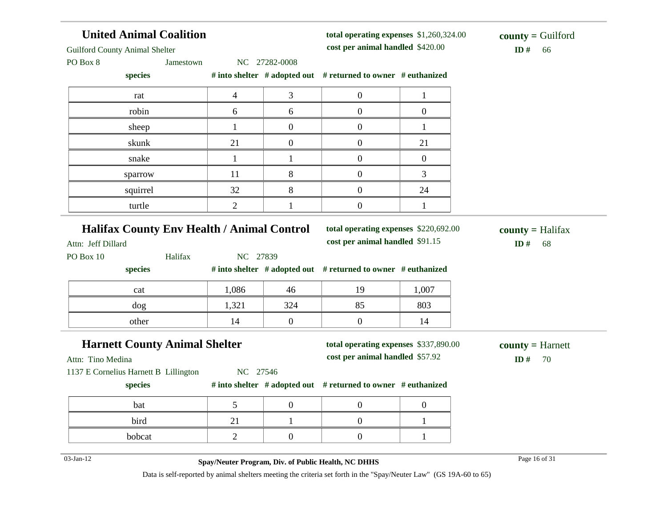| <b>United Animal Coalition</b><br><b>Guilford County Animal Shelter</b> |                |                  | total operating expenses \$1,260,324.00<br>cost per animal handled \$420.00 | $county =$ Guilford<br>ID#<br>66 |                                        |
|-------------------------------------------------------------------------|----------------|------------------|-----------------------------------------------------------------------------|----------------------------------|----------------------------------------|
| PO Box 8<br>Jamestown                                                   |                | NC 27282-0008    |                                                                             |                                  |                                        |
| species                                                                 |                |                  | # into shelter $#$ adopted out $#$ returned to owner $#$ euthanized         |                                  |                                        |
| rat                                                                     | $\overline{4}$ | 3                | $\mathbf{0}$                                                                | $\mathbf{1}$                     |                                        |
| robin                                                                   | 6              | 6                | $\overline{0}$                                                              | $\boldsymbol{0}$                 |                                        |
| sheep                                                                   |                | $\boldsymbol{0}$ | $\boldsymbol{0}$                                                            | 1                                |                                        |
| skunk                                                                   | 21             | $\boldsymbol{0}$ | $\overline{0}$                                                              | 21                               |                                        |
| snake                                                                   |                | 1                | $\overline{0}$                                                              | $\boldsymbol{0}$                 |                                        |
| sparrow                                                                 | 11             | 8                | $\overline{0}$                                                              | 3                                |                                        |
| squirrel                                                                | 32             | 8                | $\overline{0}$                                                              | 24                               |                                        |
| turtle                                                                  | $\overline{2}$ |                  | $\boldsymbol{0}$                                                            | 1                                |                                        |
| <b>Halifax County Env Health / Animal Control</b><br>Attn: Jeff Dillard |                |                  | total operating expenses \$220,692.00<br>cost per animal handled \$91.15    |                                  | $county = \text{Halifax}$<br>ID#<br>68 |
| PO Box 10<br>Halifax                                                    | NC 27839       |                  |                                                                             |                                  |                                        |
| species                                                                 |                |                  | # into shelter $#$ adopted out $#$ returned to owner $#$ euthanized         |                                  |                                        |
| cat                                                                     | 1,086          | 46               | 19                                                                          | 1,007                            |                                        |
| dog                                                                     | 1,321          | 324              | 85                                                                          | 803                              |                                        |
| other                                                                   | 14             | $\overline{0}$   | $\boldsymbol{0}$                                                            | 14                               |                                        |
| <b>Harnett County Animal Shelter</b><br>Attn: Tino Medina               |                |                  | total operating expenses \$337,890.00<br>cost per animal handled \$57.92    |                                  | $county = Harnett$<br>ID#<br>70        |

Attn: Tino Medina

1137 E Cornelius Harnett B Lillington NC 27546

**species # into shelter # adopted out # returned to owner # euthanized**

| bat    |  |  |
|--------|--|--|
| bird   |  |  |
| bobcat |  |  |

03-Jan-12 Page 16 of 31 **Spay/Neuter Program, Div. of Public Health, NC DHHS**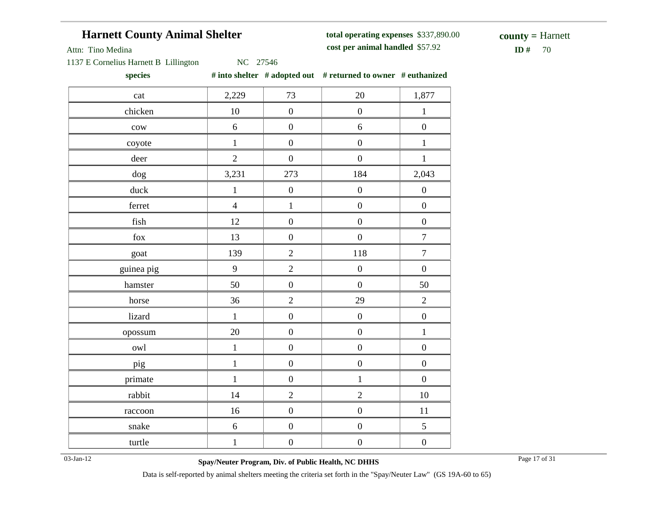## **Harnett County Animal Shelter**

**total operating expenses** \$337,890.00 **cost per animal handled**

 $ID#$  70 **county =** Harnett

Attn: Tino Medina

1137 E Cornelius Harnett B Lillington NC 27546

**species # into shelter # adopted out # returned to owner # euthanized**

| cat             | 2,229          | 73               | 20               | 1,877            |
|-----------------|----------------|------------------|------------------|------------------|
| chicken         | 10             | $\boldsymbol{0}$ | $\boldsymbol{0}$ | $\mathbf{1}$     |
| $_{\text{cow}}$ | $\sqrt{6}$     | $\boldsymbol{0}$ | 6                | $\boldsymbol{0}$ |
| coyote          | $\mathbf{1}$   | $\boldsymbol{0}$ | $\boldsymbol{0}$ | $\mathbf{1}$     |
| deer            | $\overline{2}$ | $\boldsymbol{0}$ | $\boldsymbol{0}$ | $\mathbf{1}$     |
| $\rm{dog}$      | 3,231          | 273              | 184              | 2,043            |
| duck            | $\mathbf{1}$   | $\boldsymbol{0}$ | $\boldsymbol{0}$ | $\boldsymbol{0}$ |
| ferret          | $\overline{4}$ | $\mathbf{1}$     | $\boldsymbol{0}$ | $\boldsymbol{0}$ |
| fish            | 12             | $\boldsymbol{0}$ | $\boldsymbol{0}$ | $\boldsymbol{0}$ |
| ${\rm fox}$     | 13             | $\boldsymbol{0}$ | $\boldsymbol{0}$ | $\boldsymbol{7}$ |
| goat            | 139            | $\sqrt{2}$       | 118              | $\boldsymbol{7}$ |
| guinea pig      | 9              | $\overline{2}$   | $\boldsymbol{0}$ | $\boldsymbol{0}$ |
| hamster         | 50             | $\boldsymbol{0}$ | $\boldsymbol{0}$ | 50               |
| horse           | 36             | $\overline{2}$   | 29               | $\overline{2}$   |
| lizard          | $\,1\,$        | $\boldsymbol{0}$ | $\boldsymbol{0}$ | $\boldsymbol{0}$ |
| opossum         | $20\,$         | $\boldsymbol{0}$ | $\boldsymbol{0}$ | $\,1$            |
| owl             | $\,1\,$        | $\boldsymbol{0}$ | $\boldsymbol{0}$ | $\boldsymbol{0}$ |
| pig             | $\mathbf{1}$   | $\boldsymbol{0}$ | $\boldsymbol{0}$ | $\boldsymbol{0}$ |
| primate         | $\mathbf{1}$   | $\boldsymbol{0}$ | $\mathbf{1}$     | $\boldsymbol{0}$ |
| rabbit          | 14             | $\sqrt{2}$       | $\overline{2}$   | $10\,$           |
| raccoon         | 16             | $\boldsymbol{0}$ | $\boldsymbol{0}$ | 11               |
| snake           | $\sqrt{6}$     | $\boldsymbol{0}$ | $\boldsymbol{0}$ | 5                |
| turtle          | $\mathbf{1}$   | $\boldsymbol{0}$ | $\boldsymbol{0}$ | $\boldsymbol{0}$ |

03-Jan-12 Page 17 of 31 **Spay/Neuter Program, Div. of Public Health, NC DHHS**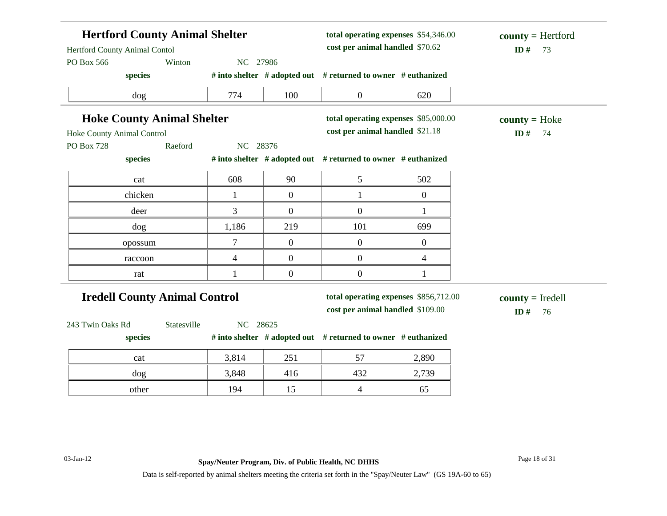| <b>Hertford County Animal Shelter</b><br>Hertford County Animal Contol |                  |                  | total operating expenses \$54,346.00<br>cost per animal handled \$70.62 |                | $county = Hertford$<br>ID#<br>73 |
|------------------------------------------------------------------------|------------------|------------------|-------------------------------------------------------------------------|----------------|----------------------------------|
| Winton<br>PO Box 566<br>species                                        | NC 27986         |                  | # into shelter # adopted out # returned to owner # euthanized           |                |                                  |
|                                                                        |                  |                  |                                                                         |                |                                  |
| dog                                                                    | 774              | 100              | $\boldsymbol{0}$                                                        | 620            |                                  |
| <b>Hoke County Animal Shelter</b>                                      |                  |                  | total operating expenses \$85,000.00                                    |                | $county = Hoke$                  |
| Hoke County Animal Control                                             |                  |                  | cost per animal handled \$21.18                                         |                | ID#<br>74                        |
| Raeford<br><b>PO Box 728</b>                                           | NC 28376         |                  |                                                                         |                |                                  |
| species                                                                |                  |                  | # into shelter # adopted out # returned to owner # euthanized           |                |                                  |
| cat                                                                    | 608              | 90               | 5                                                                       | 502            |                                  |
| chicken                                                                | 1                | $\overline{0}$   | $\mathbf{1}$                                                            | $\overline{0}$ |                                  |
| deer                                                                   | 3                | $\overline{0}$   | $\overline{0}$                                                          | $\mathbf{1}$   |                                  |
| dog                                                                    | 1,186            | 219              | 101                                                                     | 699            |                                  |
| opossum                                                                | $\boldsymbol{7}$ | $\boldsymbol{0}$ | $\boldsymbol{0}$                                                        | $\overline{0}$ |                                  |
| raccoon                                                                | $\overline{4}$   | $\overline{0}$   | $\boldsymbol{0}$                                                        | $\overline{4}$ |                                  |
| rat                                                                    | 1                | $\overline{0}$   | $\overline{0}$                                                          | 1              |                                  |
| <b>Iredell County Animal Control</b>                                   |                  |                  | total operating expenses \$856,712.00                                   |                | $county = Iredell$               |
|                                                                        |                  |                  | cost per animal handled \$109.00                                        |                | ID#<br>76                        |
| Statesville<br>243 Twin Oaks Rd<br>species                             | NC 28625         |                  | # into shelter # adopted out # returned to owner # euthanized           |                |                                  |
| cat                                                                    | 3,814            | 251              | 57                                                                      | 2,890          |                                  |
| dog                                                                    | 3,848            | 416              | 432                                                                     | 2,739          |                                  |
| other                                                                  | 194              | 15               | $\overline{4}$                                                          | 65             |                                  |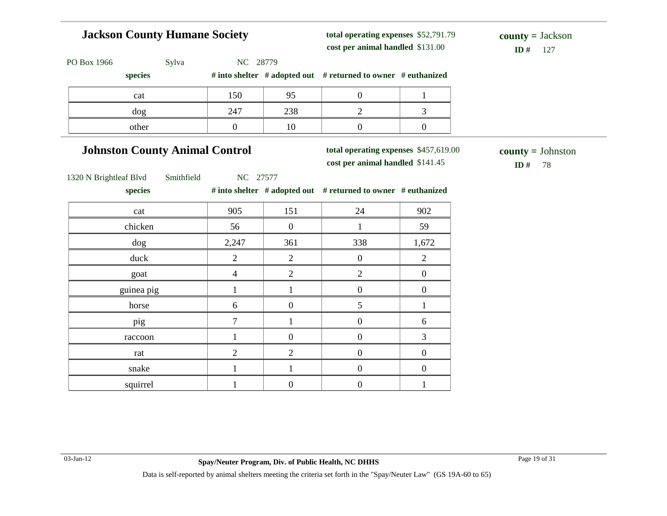# **Jackson County Humane Society**

**total operating expenses** \$52,791.79 **cost per animal handled**

 $ID#$  127 **county =** Jackson

| PO Box 1966<br>Sylva                  | NC 28779               |                  |                                                                           |                  |                                  |
|---------------------------------------|------------------------|------------------|---------------------------------------------------------------------------|------------------|----------------------------------|
| species                               |                        |                  | # into shelter # adopted out # returned to owner # euthanized             |                  |                                  |
| cat                                   | 150                    | 95               | $\boldsymbol{0}$                                                          | $\mathbf{1}$     |                                  |
| $\log$                                | 247                    | 238              | $\overline{2}$                                                            | 3                |                                  |
| other                                 | $\boldsymbol{0}$       | 10               | $\boldsymbol{0}$                                                          | $\boldsymbol{0}$ |                                  |
| <b>Johnston County Animal Control</b> |                        |                  | total operating expenses \$457,619.00<br>cost per animal handled \$141.45 |                  | $county = Johnston$<br>ID#<br>78 |
| 1320 N Brightleaf Blvd<br>species     | Smithfield<br>NC 27577 |                  | # into shelter # adopted out # returned to owner # euthanized             |                  |                                  |
| cat                                   | 905                    | 151              | 24                                                                        | 902              |                                  |
| chicken                               | 56                     | $\mathbf{0}$     | $\mathbf{1}$                                                              | 59               |                                  |
| dog                                   | 2,247                  | 361              | 338                                                                       | 1,672            |                                  |
| duck                                  | $\overline{2}$         | $\overline{2}$   | $\boldsymbol{0}$                                                          | $\overline{2}$   |                                  |
| goat                                  | $\overline{4}$         | $\overline{2}$   | $\overline{2}$                                                            | $\boldsymbol{0}$ |                                  |
| guinea pig                            | $\mathbf{1}$           | $\mathbf{1}$     | $\boldsymbol{0}$                                                          | $\boldsymbol{0}$ |                                  |
| horse                                 | 6                      | $\boldsymbol{0}$ | 5                                                                         | $\mathbf{1}$     |                                  |
| pig                                   | $\overline{7}$         | $\mathbf{1}$     | $\boldsymbol{0}$                                                          | 6                |                                  |
| raccoon                               | $\mathbf{1}$           | $\boldsymbol{0}$ | $\boldsymbol{0}$                                                          | 3                |                                  |
| rat                                   | $\overline{2}$         | $\overline{2}$   | $\boldsymbol{0}$                                                          | $\boldsymbol{0}$ |                                  |
| snake                                 | $\mathbf{1}$           | $\mathbf{1}$     | $\boldsymbol{0}$                                                          | $\boldsymbol{0}$ |                                  |
| squirrel                              | $\mathbf{1}$           | $\boldsymbol{0}$ | $\boldsymbol{0}$                                                          | $\mathbf{1}$     |                                  |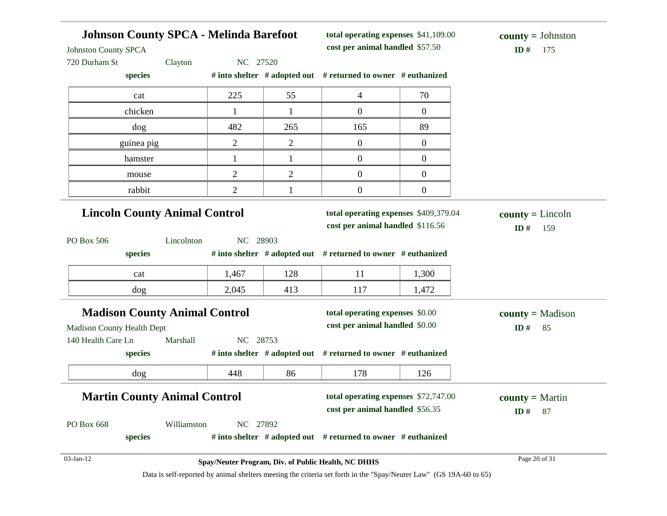| <b>Johnston County SPCA</b>          | <b>Johnson County SPCA - Melinda Barefoot</b><br>total operating expenses \$41,109.00<br>cost per animal handled \$57.50 |                |                |                                                                                                        | $county = Johnston$<br>ID#<br>175 |                                  |
|--------------------------------------|--------------------------------------------------------------------------------------------------------------------------|----------------|----------------|--------------------------------------------------------------------------------------------------------|-----------------------------------|----------------------------------|
| 720 Durham St                        | Clayton                                                                                                                  | NC 27520       |                |                                                                                                        |                                   |                                  |
| species                              |                                                                                                                          |                |                | # into shelter # adopted out # returned to owner # euthanized                                          |                                   |                                  |
| cat                                  |                                                                                                                          | 225            | 55             | $\overline{4}$                                                                                         | 70                                |                                  |
| chicken                              |                                                                                                                          |                | $\mathbf{1}$   | $\overline{0}$                                                                                         | $\overline{0}$                    |                                  |
| dog                                  |                                                                                                                          | 482            | 265            | 165                                                                                                    | 89                                |                                  |
| guinea pig                           |                                                                                                                          | 2              | $\overline{2}$ | $\boldsymbol{0}$                                                                                       | $\overline{0}$                    |                                  |
| hamster                              |                                                                                                                          | $\mathbf 1$    | $\mathbf{1}$   | $\boldsymbol{0}$                                                                                       | $\overline{0}$                    |                                  |
| mouse                                |                                                                                                                          | $\overline{2}$ | $\overline{2}$ | $\mathbf{0}$                                                                                           | $\overline{0}$                    |                                  |
| rabbit                               |                                                                                                                          | $\overline{2}$ | 1              | $\boldsymbol{0}$                                                                                       | $\boldsymbol{0}$                  |                                  |
| <b>Lincoln County Animal Control</b> |                                                                                                                          |                |                | total operating expenses \$409,379.04<br>cost per animal handled \$116.56                              |                                   | $county = Lincoln$<br>159<br>ID# |
| PO Box 506<br>species                | Lincolnton                                                                                                               | NC 28903       |                | # into shelter # adopted out # returned to owner # euthanized                                          |                                   |                                  |
| cat                                  |                                                                                                                          | 1,467          | 128            | 11                                                                                                     | 1,300                             |                                  |
| dog                                  |                                                                                                                          | 2,045          | 413            | 117                                                                                                    | 1,472                             |                                  |
| <b>Madison County Animal Control</b> |                                                                                                                          |                |                | total operating expenses \$0.00                                                                        |                                   | $county = Madison$               |
| <b>Madison County Health Dept</b>    |                                                                                                                          |                |                | cost per animal handled \$0.00                                                                         |                                   | ID#<br>85                        |
| 140 Health Care Ln<br>species        | Marshall                                                                                                                 | NC 28753       |                | # into shelter # adopted out # returned to owner # euthanized                                          |                                   |                                  |
| dog                                  |                                                                                                                          | 448            | 86             | 178                                                                                                    | 126                               |                                  |
| <b>Martin County Animal Control</b>  |                                                                                                                          |                |                | total operating expenses \$72,747.00                                                                   |                                   | $county = Martin$                |
| PO Box 668<br>species                | Williamston                                                                                                              | NC 27892       |                | cost per animal handled \$56.35<br># into shelter $#$ adopted out $#$ returned to owner $#$ euthanized |                                   | ID#<br>87                        |
| $03$ -Jan-12                         |                                                                                                                          |                |                | Spay/Neuter Program, Div. of Public Health, NC DHHS                                                    |                                   | Page 20 of 31                    |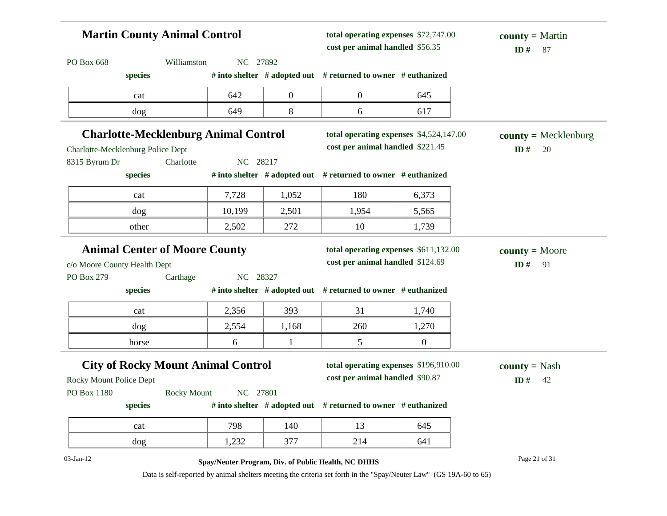| <b>Martin County Animal Control</b>         |                    |          | total operating expenses \$72,747.00<br>cost per animal handled \$56.35 |                                                                                                                    | $county = Martin$<br>ID#<br>87 |                        |
|---------------------------------------------|--------------------|----------|-------------------------------------------------------------------------|--------------------------------------------------------------------------------------------------------------------|--------------------------------|------------------------|
| PO Box 668                                  | Williamston        | NC 27892 |                                                                         |                                                                                                                    |                                |                        |
| species                                     |                    |          |                                                                         | # into shelter # adopted out # returned to owner # euthanized                                                      |                                |                        |
| cat                                         |                    | 642      | $\boldsymbol{0}$                                                        | $\boldsymbol{0}$                                                                                                   | 645                            |                        |
| dog                                         |                    | 649      | 8                                                                       | 6                                                                                                                  | 617                            |                        |
| <b>Charlotte-Mecklenburg Animal Control</b> |                    |          |                                                                         | total operating expenses \$4,524,147.00                                                                            |                                | $county = Mecklenburg$ |
| Charlotte-Mecklenburg Police Dept           |                    |          |                                                                         | cost per animal handled \$221.45                                                                                   |                                | ID#<br>20              |
| 8315 Byrum Dr                               | Charlotte          | NC 28217 |                                                                         |                                                                                                                    |                                |                        |
| species                                     |                    |          |                                                                         | # into shelter # adopted out # returned to owner # euthanized                                                      |                                |                        |
| cat                                         |                    | 7,728    | 1,052                                                                   | 180                                                                                                                | 6,373                          |                        |
| dog                                         |                    | 10,199   | 2,501                                                                   | 1,954                                                                                                              | 5,565                          |                        |
| other                                       |                    | 2,502    | 272                                                                     | 10                                                                                                                 | 1,739                          |                        |
| <b>Animal Center of Moore County</b>        |                    |          |                                                                         | total operating expenses \$611,132.00                                                                              |                                | $county = Moore$       |
| c/o Moore County Health Dept                |                    |          |                                                                         | cost per animal handled \$124.69                                                                                   |                                | ID#<br>91              |
| PO Box 279                                  | Carthage           | NC 28327 |                                                                         |                                                                                                                    |                                |                        |
| species                                     |                    |          |                                                                         | # into shelter # adopted out # returned to owner # euthanized                                                      |                                |                        |
| cat                                         |                    | 2,356    | 393                                                                     | 31                                                                                                                 | 1,740                          |                        |
| dog                                         |                    | 2,554    | 1,168                                                                   | 260                                                                                                                | 1,270                          |                        |
| horse                                       |                    | 6        | 1                                                                       | 5                                                                                                                  | $\overline{0}$                 |                        |
| <b>City of Rocky Mount Animal Control</b>   |                    |          |                                                                         | total operating expenses \$196,910.00                                                                              |                                | <b>county</b> = Nash   |
| <b>Rocky Mount Police Dept</b>              |                    |          |                                                                         | cost per animal handled \$90.87                                                                                    |                                | ID#<br>42              |
| PO Box 1180                                 | <b>Rocky Mount</b> | NC 27801 |                                                                         |                                                                                                                    |                                |                        |
| species                                     |                    |          |                                                                         | # into shelter # adopted out # returned to owner # euthanized                                                      |                                |                        |
| cat                                         |                    | 798      | 140                                                                     | 13                                                                                                                 | 645                            |                        |
| dog                                         |                    | 1,232    | 377                                                                     | 214                                                                                                                | 641                            |                        |
| 03-Jan-12                                   |                    |          |                                                                         | Spay/Neuter Program, Div. of Public Health, NC DHHS                                                                |                                | Page 21 of 31          |
|                                             |                    |          |                                                                         | Data is self-reported by animal shelters meeting the criteria set forth in the "Spay/Neuter Law" (GS 19A-60 to 65) |                                |                        |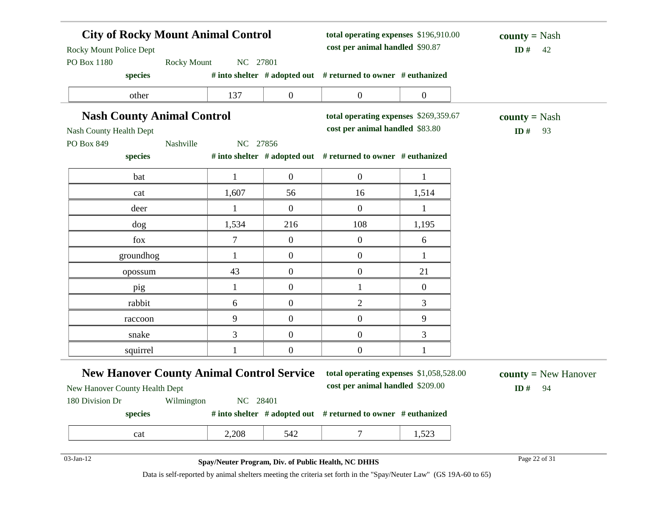| <b>City of Rocky Mount Animal Control</b><br><b>Rocky Mount Police Dept</b>        |              | total operating expenses \$196,910.00<br>cost per animal handled \$90.87 |                                                                             | $county = Nash$<br>ID#<br>42 |                                            |
|------------------------------------------------------------------------------------|--------------|--------------------------------------------------------------------------|-----------------------------------------------------------------------------|------------------------------|--------------------------------------------|
| PO Box 1180<br><b>Rocky Mount</b><br>species                                       | NC 27801     |                                                                          | # into shelter # adopted out # returned to owner # euthanized               |                              |                                            |
| other                                                                              | 137          | $\boldsymbol{0}$                                                         | $\boldsymbol{0}$                                                            | $\boldsymbol{0}$             |                                            |
| <b>Nash County Animal Control</b>                                                  |              |                                                                          | total operating expenses \$269,359.67                                       |                              | <b>county</b> = Nash                       |
| Nash County Health Dept                                                            |              |                                                                          | cost per animal handled \$83.80                                             |                              | ID#<br>93                                  |
| PO Box 849<br>Nashville                                                            | NC 27856     |                                                                          |                                                                             |                              |                                            |
| species                                                                            |              |                                                                          | # into shelter # adopted out # returned to owner # euthanized               |                              |                                            |
| bat                                                                                | $\mathbf{1}$ | $\boldsymbol{0}$                                                         | $\overline{0}$                                                              | $\mathbf{1}$                 |                                            |
| cat                                                                                | 1,607        | 56                                                                       | 16                                                                          | 1,514                        |                                            |
| deer                                                                               | 1            | $\boldsymbol{0}$                                                         | $\boldsymbol{0}$                                                            | 1                            |                                            |
| dog                                                                                | 1,534        | 216                                                                      | 108                                                                         | 1,195                        |                                            |
| fox                                                                                | $\tau$       | $\boldsymbol{0}$                                                         | $\boldsymbol{0}$                                                            | 6                            |                                            |
| groundhog                                                                          | $\mathbf{1}$ | $\overline{0}$                                                           | $\boldsymbol{0}$                                                            | $\mathbf{1}$                 |                                            |
| opossum                                                                            | 43           | $\boldsymbol{0}$                                                         | $\boldsymbol{0}$                                                            | 21                           |                                            |
| pig                                                                                | $\mathbf{1}$ | $\overline{0}$                                                           | $\mathbf{1}$                                                                | $\mathbf{0}$                 |                                            |
| rabbit                                                                             | 6            | $\mathbf{0}$                                                             | 2                                                                           | 3                            |                                            |
| raccoon                                                                            | 9            | $\overline{0}$                                                           | $\boldsymbol{0}$                                                            | 9                            |                                            |
| snake                                                                              | 3            | $\boldsymbol{0}$                                                         | $\boldsymbol{0}$                                                            | 3                            |                                            |
| squirrel                                                                           |              | $\mathbf{0}$                                                             | $\boldsymbol{0}$                                                            | 1                            |                                            |
| <b>New Hanover County Animal Control Service</b><br>New Hanover County Health Dept |              |                                                                          | total operating expenses \$1,058,528.00<br>cost per animal handled \$209.00 |                              | <b>county</b> = $New$ Hanover<br>ID#<br>94 |
| 180 Division Dr Wilmington                                                         | NC 28401     |                                                                          |                                                                             |                              |                                            |
| species                                                                            |              |                                                                          | # into shelter $#$ adopted out $#$ returned to owner $#$ euthanized         |                              |                                            |
| cat                                                                                | 2,208        | 542                                                                      | 7                                                                           | 1,523                        |                                            |
| 03-Jan-12                                                                          |              |                                                                          | Spay/Neuter Program, Div. of Public Health, NC DHHS                         |                              | Page 22 of 31                              |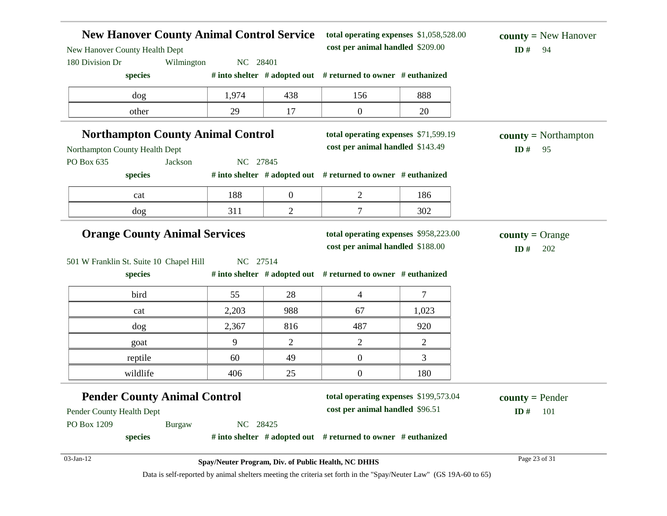| <b>New Hanover County Animal Control Service</b><br>New Hanover County Health Dept |                                                     |                | total operating expenses \$1,058,528.00<br>cost per animal handled \$209.00 |                                                                                                                    | <b>county</b> = New Hanover<br>ID#<br>94 |
|------------------------------------------------------------------------------------|-----------------------------------------------------|----------------|-----------------------------------------------------------------------------|--------------------------------------------------------------------------------------------------------------------|------------------------------------------|
| 180 Division Dr<br>Wilmington                                                      | NC 28401                                            |                |                                                                             |                                                                                                                    |                                          |
| species                                                                            |                                                     |                | # into shelter $#$ adopted out $#$ returned to owner $#$ euthanized         |                                                                                                                    |                                          |
| dog                                                                                | 1,974                                               | 438            | 156                                                                         | 888                                                                                                                |                                          |
| other                                                                              | 29                                                  | 17             | $\boldsymbol{0}$                                                            | 20                                                                                                                 |                                          |
| <b>Northampton County Animal Control</b>                                           |                                                     |                | total operating expenses \$71,599.19                                        |                                                                                                                    | $county = \text{Northampton}$            |
| Northampton County Health Dept                                                     |                                                     |                | cost per animal handled \$143.49                                            |                                                                                                                    | ID#<br>95                                |
| PO Box 635<br>Jackson                                                              | NC 27845                                            |                |                                                                             |                                                                                                                    |                                          |
| species                                                                            |                                                     |                | # into shelter # adopted out # returned to owner # euthanized               |                                                                                                                    |                                          |
| cat                                                                                | 188                                                 | $\overline{0}$ | $\overline{2}$                                                              | 186                                                                                                                |                                          |
| dog                                                                                | 311                                                 | 2              | 7                                                                           | 302                                                                                                                |                                          |
| <b>Orange County Animal Services</b>                                               |                                                     |                | total operating expenses \$958,223.00<br>cost per animal handled \$188.00   |                                                                                                                    | <b>county</b> = Orange<br>ID#<br>202     |
| 501 W Franklin St. Suite 10 Chapel Hill<br>species                                 | NC 27514                                            |                | # into shelter # adopted out # returned to owner # euthanized               |                                                                                                                    |                                          |
| bird                                                                               | 55                                                  | 28             | 4                                                                           | $\tau$                                                                                                             |                                          |
| cat                                                                                | 2,203                                               | 988            | 67                                                                          | 1,023                                                                                                              |                                          |
| dog                                                                                | 2,367                                               | 816            | 487                                                                         | 920                                                                                                                |                                          |
| goat                                                                               | 9                                                   | $\overline{2}$ | $\overline{c}$                                                              | $\overline{2}$                                                                                                     |                                          |
| reptile                                                                            | 60                                                  | 49             | $\boldsymbol{0}$                                                            | 3                                                                                                                  |                                          |
| wildlife                                                                           | 406                                                 | 25             | $\boldsymbol{0}$                                                            | 180                                                                                                                |                                          |
| <b>Pender County Animal Control</b>                                                |                                                     |                | total operating expenses \$199,573.04                                       |                                                                                                                    | $county = Pender$                        |
| Pender County Health Dept                                                          |                                                     |                | cost per animal handled \$96.51                                             |                                                                                                                    | ID#<br>101                               |
| PO Box 1209<br><b>Burgaw</b>                                                       | NC 28425                                            |                |                                                                             |                                                                                                                    |                                          |
| species                                                                            |                                                     |                | # into shelter $#$ adopted out $#$ returned to owner $#$ euthanized         |                                                                                                                    |                                          |
| 03-Jan-12                                                                          | Spay/Neuter Program, Div. of Public Health, NC DHHS |                |                                                                             |                                                                                                                    | Page 23 of 31                            |
|                                                                                    |                                                     |                |                                                                             | Data is self-reported by animal shelters meeting the criteria set forth in the "Spay/Neuter Law" (GS 19A-60 to 65) |                                          |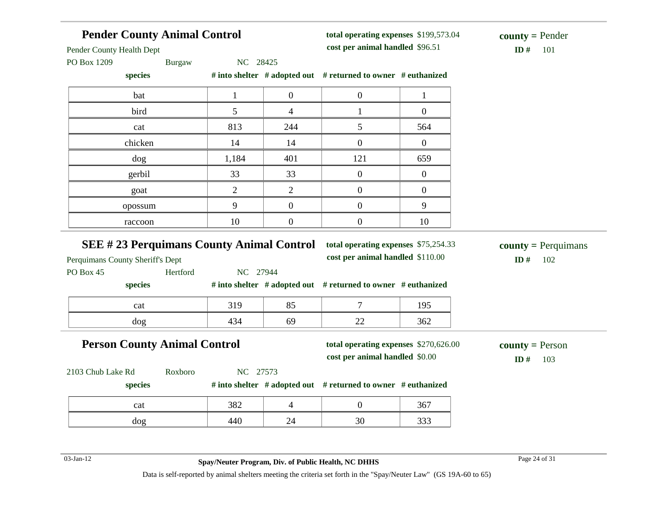| <b>Pender County Animal Control</b>                                       |               |                |                                 | total operating expenses \$199,573.04                                    |                  | $county = Pender$               |
|---------------------------------------------------------------------------|---------------|----------------|---------------------------------|--------------------------------------------------------------------------|------------------|---------------------------------|
| Pender County Health Dept                                                 |               |                | cost per animal handled \$96.51 |                                                                          | ID#<br>101       |                                 |
| PO Box 1209                                                               | <b>Burgaw</b> | NC 28425       |                                 |                                                                          |                  |                                 |
| species                                                                   |               |                |                                 | # into shelter # adopted out # returned to owner # euthanized            |                  |                                 |
| bat                                                                       |               | $\mathbf{1}$   | $\boldsymbol{0}$                | $\boldsymbol{0}$                                                         | $\mathbf{1}$     |                                 |
| bird                                                                      |               | 5              | $\overline{4}$                  | $\mathbf{1}$                                                             | $\boldsymbol{0}$ |                                 |
| cat                                                                       |               | 813            | 244                             | 5                                                                        | 564              |                                 |
| chicken                                                                   |               | 14             | 14                              | $\overline{0}$                                                           | $\overline{0}$   |                                 |
| dog                                                                       |               | 1,184          | 401                             | 121                                                                      | 659              |                                 |
| gerbil                                                                    |               | 33             | 33                              | $\overline{0}$                                                           | $\overline{0}$   |                                 |
| goat                                                                      |               | $\overline{2}$ | $\overline{2}$                  | $\overline{0}$                                                           | $\boldsymbol{0}$ |                                 |
| opossum                                                                   |               | 9              | $\boldsymbol{0}$                | $\boldsymbol{0}$                                                         | 9                |                                 |
| raccoon                                                                   |               | 10             | $\boldsymbol{0}$                | $\overline{0}$                                                           | 10               |                                 |
|                                                                           |               |                |                                 |                                                                          |                  |                                 |
|                                                                           |               |                |                                 |                                                                          |                  |                                 |
| <b>SEE #23 Perquimans County Animal Control</b>                           |               |                |                                 | total operating expenses \$75,254.33<br>cost per animal handled \$110.00 |                  | 102<br>ID#                      |
|                                                                           | Hertford      | NC 27944       |                                 |                                                                          |                  | <b>county</b> = Perquimans      |
| species                                                                   |               |                |                                 | # into shelter # adopted out # returned to owner # euthanized            |                  |                                 |
| cat                                                                       |               | 319            | 85                              | $\overline{7}$                                                           | 195              |                                 |
| dog                                                                       |               | 434            | 69                              | 22                                                                       | 362              |                                 |
|                                                                           |               |                |                                 | total operating expenses \$270,626.00                                    |                  |                                 |
| <b>Person County Animal Control</b>                                       |               |                |                                 | cost per animal handled \$0.00                                           |                  | $county = Person$<br>ID#<br>103 |
|                                                                           | Roxboro       | NC 27573       |                                 |                                                                          |                  |                                 |
| species                                                                   |               |                |                                 | # into shelter # adopted out # returned to owner # euthanized            |                  |                                 |
| Perquimans County Sheriff's Dept<br>PO Box 45<br>2103 Chub Lake Rd<br>cat |               | 382            | $\overline{4}$                  | $\overline{0}$                                                           | 367              |                                 |

03-Jan-12 Page 24 of 31 **Spay/Neuter Program, Div. of Public Health, NC DHHS**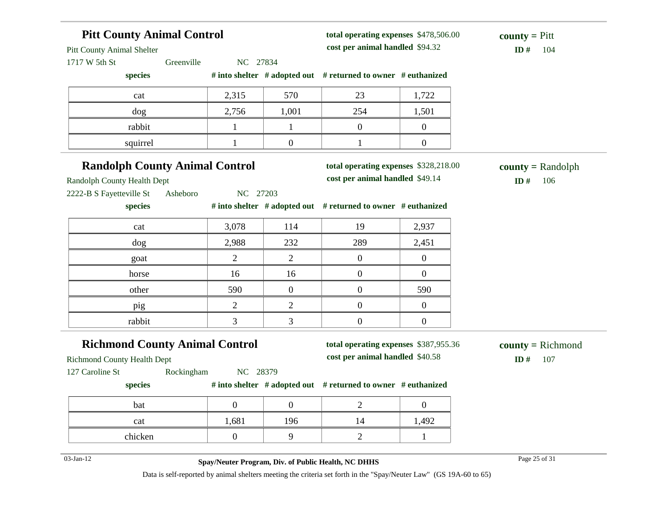#### **Pitt County Animal Control** Pitt County Animal Shelter 1717 W 5th St Greenville NC 27834 **species # into shelter # adopted out # returned to owner # euthanized total operating expenses** \$478,506.00 **cost per animal handled** \$94.32 **ID #** 104 **county =** Pitt cat 2,315 570 23 1,722 dog 2,756 1,001 254 1,501 rabbit 1 1 1 0 0 squirrel  $1 \t 1 \t 0 \t 1 \t 0$ **Randolph County Animal Control** Randolph County Health Dept 2222-B S Fayetteville St Asheboro NC 27203 **species # into shelter # adopted out # returned to owner # euthanized total operating expenses** \$328,218.00 **cost per animal handled** \$49.14 **ID #** 106 **county =** Randolph cat 13,078 114 19 2,937 dog 2,988 232 289 2,451 goat  $2 \begin{array}{|c|c|c|c|c|} \hline 2 & 2 & 0 & 0 \ \hline \end{array}$ horse 16 16 16 0 0 other 590 0 0 590 pig 2 2 0 0 rabbit 1 3 3 0 0 0 **Richmond County Animal Control** Richmond County Health Dept 127 Caroline St Rockingham NC 28379 **species # into shelter # adopted out # returned to owner # euthanized total operating expenses** \$387,955.36 **cost per animal handled** \$40.58 **ID #** 107 **county =** Richmond bat  $\begin{array}{ccccccc} 0 & 0 & 0 & 2 & 0 \end{array}$ cat 1,681 196 14 1,492 chicken 1 0 9 2 1

03-Jan-12 Page 25 of 31 **Spay/Neuter Program, Div. of Public Health, NC DHHS**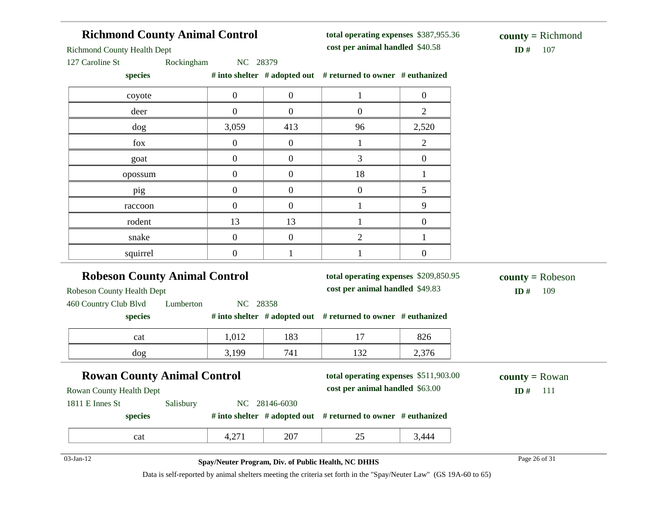#### **Richmond County Animal Control**

**total operating expenses** \$387,955.36 **cost per animal handled** \$40.58 **ID #** 107

Richmond County Health Dept

127 Caroline St Rockingham NC 28379

**species # into shelter # adopted out # returned to owner # euthanized**

| $\mathcal{L}_{\text{PCC}}$ |                  |                  | $\theta$ modern $\theta$ and $\theta$ and $\theta$ and $\theta$ and $\theta$ and $\theta$ and $\theta$ and $\theta$ and $\theta$ and $\theta$ and $\theta$ and $\theta$ and $\theta$ and $\theta$ and $\theta$ and $\theta$ and $\theta$ and $\theta$ and $\theta$ and $\theta$ and $\theta$ and $\theta$ and $\theta$ and $\$ |                |
|----------------------------|------------------|------------------|--------------------------------------------------------------------------------------------------------------------------------------------------------------------------------------------------------------------------------------------------------------------------------------------------------------------------------|----------------|
| coyote                     | $\boldsymbol{0}$ | $\boldsymbol{0}$ |                                                                                                                                                                                                                                                                                                                                | $\theta$       |
| deer                       | $\overline{0}$   | $\overline{0}$   | $\boldsymbol{0}$                                                                                                                                                                                                                                                                                                               | $\overline{c}$ |
| dog                        | 3,059            | 413              | 96                                                                                                                                                                                                                                                                                                                             | 2,520          |
| fox                        | $\mathbf{0}$     | $\boldsymbol{0}$ |                                                                                                                                                                                                                                                                                                                                | $\overline{2}$ |
| goat                       | $\Omega$         | 0                | 3                                                                                                                                                                                                                                                                                                                              |                |
| opossum                    | $\theta$         | 0                | 18                                                                                                                                                                                                                                                                                                                             |                |
| pig                        | $\overline{0}$   | $\overline{0}$   | $\Omega$                                                                                                                                                                                                                                                                                                                       |                |
| raccoon                    | $\boldsymbol{0}$ | $\overline{0}$   |                                                                                                                                                                                                                                                                                                                                | 9              |
| rodent                     | 13               | 13               |                                                                                                                                                                                                                                                                                                                                | 0              |
| snake                      | $\theta$         | $\overline{0}$   | 2                                                                                                                                                                                                                                                                                                                              |                |
| squirrel                   | 0                |                  |                                                                                                                                                                                                                                                                                                                                |                |

#### **Robeson County Animal Control**

Robeson County Health Dept

**total operating expenses** \$209,850.95 **cost per animal handled** \$49.83 **ID #** 109

**county =** Robeson

460 Country Club Blvd Lumberton NC 28358

| species |  | # into shelter $\#$ adopted out $\#$ returned to owner $\#$ euthanized |  |
|---------|--|------------------------------------------------------------------------|--|
|         |  |                                                                        |  |

| cat | 012<br>1,012 | 102<br>105 | $\overline{\phantom{0}}$             | 02<<br>$0\angle 0$ |
|-----|--------------|------------|--------------------------------------|--------------------|
| dog | :100<br>しょしつ | 741        | $\Omega$<br>$\overline{\phantom{a}}$ | $\sim$<br>توسط     |

## **Rowan County Animal Control**

**total operating expenses** \$511,903.00

**county =** Rowan

Rowan County Health Dept

**cost per animal handled** \$63.00 **ID #** 111

1811 E Innes St Salisbury NC 28146-6030

**species # into shelter # adopted out # returned to owner # euthanized**

| ററ<br>- -- -<br>__ |
|--------------------|
|--------------------|

#### 03-Jan-12 Page 26 of 31 **Spay/Neuter Program, Div. of Public Health, NC DHHS**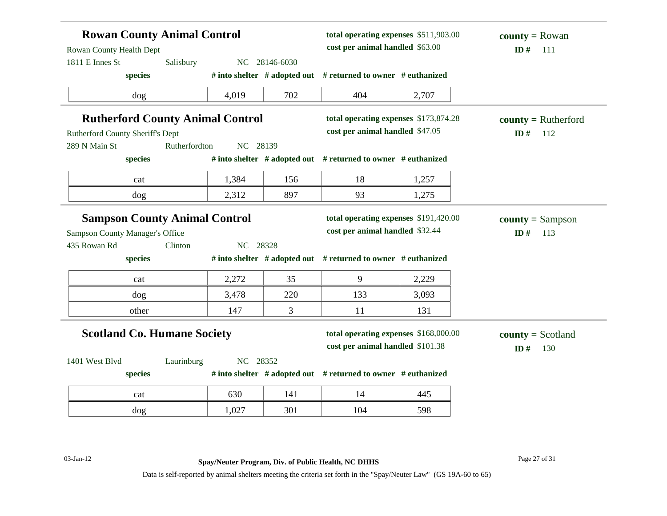| <b>Rowan County Animal Control</b><br>Rowan County Health Dept |               |          | total operating expenses \$511,903.00<br>cost per animal handled \$63.00 |                                                                           | <b>county</b> = Rowan<br>ID#<br>111 |                                   |
|----------------------------------------------------------------|---------------|----------|--------------------------------------------------------------------------|---------------------------------------------------------------------------|-------------------------------------|-----------------------------------|
| 1811 E Innes St                                                | Salisbury     |          | NC 28146-6030                                                            |                                                                           |                                     |                                   |
| species                                                        |               |          |                                                                          | # into shelter # adopted out # returned to owner # euthanized             |                                     |                                   |
| dog                                                            |               | 4,019    | 702                                                                      | 404                                                                       | 2,707                               |                                   |
| <b>Rutherford County Animal Control</b>                        |               |          |                                                                          | total operating expenses \$173,874.28                                     |                                     | $county = Rutherford$             |
| Rutherford County Sheriff's Dept                               |               |          | cost per animal handled \$47.05                                          |                                                                           | ID $#$<br>112                       |                                   |
| 289 N Main St                                                  | Rutherfordton | NC 28139 |                                                                          |                                                                           |                                     |                                   |
| species                                                        |               |          |                                                                          | # into shelter # adopted out # returned to owner # euthanized             |                                     |                                   |
| cat                                                            |               | 1,384    | 156                                                                      | 18                                                                        | 1,257                               |                                   |
| dog                                                            |               | 2,312    | 897                                                                      | 93                                                                        | 1,275                               |                                   |
| <b>Sampson County Animal Control</b>                           |               |          |                                                                          | total operating expenses \$191,420.00                                     |                                     | $county = Sampson$                |
| <b>Sampson County Manager's Office</b>                         |               |          |                                                                          | cost per animal handled \$32.44                                           |                                     | ID#<br>113                        |
| 435 Rowan Rd                                                   | Clinton       | NC 28328 |                                                                          |                                                                           |                                     |                                   |
| species                                                        |               |          |                                                                          | # into shelter # adopted out # returned to owner # euthanized             |                                     |                                   |
| cat                                                            |               | 2,272    | 35                                                                       | 9                                                                         | 2,229                               |                                   |
| dog                                                            |               | 3,478    | 220                                                                      | 133                                                                       | 3,093                               |                                   |
| other                                                          |               | 147      | 3                                                                        | 11                                                                        | 131                                 |                                   |
| <b>Scotland Co. Humane Society</b>                             |               |          |                                                                          | total operating expenses \$168,000.00<br>cost per animal handled \$101.38 |                                     | $county = Scotland$<br>ID#<br>130 |
| 1401 West Blvd                                                 | Laurinburg    | NC 28352 |                                                                          |                                                                           |                                     |                                   |
| species                                                        |               |          |                                                                          | # into shelter # adopted out # returned to owner # euthanized             |                                     |                                   |
| cat                                                            |               | 630      | 141                                                                      | 14                                                                        | 445                                 |                                   |
| dog                                                            |               | 1,027    | 301                                                                      | 104                                                                       | 598                                 |                                   |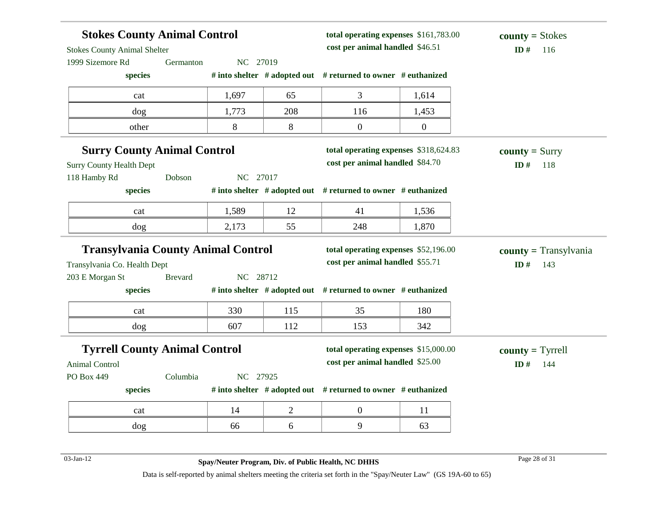| <b>Stokes County Animal Control</b>                    |                |                                 |                | total operating expenses \$161,783.00                                   |                  | $county = Stokes$       |
|--------------------------------------------------------|----------------|---------------------------------|----------------|-------------------------------------------------------------------------|------------------|-------------------------|
| <b>Stokes County Animal Shelter</b>                    |                | cost per animal handled \$46.51 |                |                                                                         |                  | ID#<br>116              |
| 1999 Sizemore Rd                                       | Germanton      | NC 27019                        |                |                                                                         |                  |                         |
| species                                                |                |                                 |                | # into shelter # adopted out # returned to owner # euthanized           |                  |                         |
| cat                                                    |                | 1,697                           | 65             | 3                                                                       | 1,614            |                         |
| dog                                                    |                | 1,773                           | 208            | 116                                                                     | 1,453            |                         |
| other                                                  |                | 8                               | 8              | $\boldsymbol{0}$                                                        | $\boldsymbol{0}$ |                         |
| <b>Surry County Animal Control</b>                     |                |                                 |                | total operating expenses \$318,624.83                                   |                  | $county = Surry$        |
| <b>Surry County Health Dept</b>                        |                |                                 |                | cost per animal handled \$84.70                                         |                  | ID#<br>118              |
| 118 Hamby Rd                                           | Dobson         | NC 27017                        |                |                                                                         |                  |                         |
| species                                                |                |                                 |                | # into shelter # adopted out # returned to owner # euthanized           |                  |                         |
| cat                                                    |                | 1,589                           | 12             | 41                                                                      | 1,536            |                         |
| dog                                                    |                | 2,173                           | 55             | 248                                                                     | 1,870            |                         |
|                                                        |                |                                 |                |                                                                         |                  |                         |
|                                                        |                |                                 |                | total operating expenses \$52,196.00                                    |                  |                         |
| <b>Transylvania County Animal Control</b>              |                |                                 |                | cost per animal handled \$55.71                                         |                  | ID#<br>143              |
|                                                        | <b>Brevard</b> | NC 28712                        |                |                                                                         |                  |                         |
| species                                                |                |                                 |                | # into shelter # adopted out # returned to owner # euthanized           |                  |                         |
| cat                                                    |                | 330                             | 115            | 35                                                                      | 180              |                         |
| Transylvania Co. Health Dept<br>203 E Morgan St<br>dog |                | 607                             | 112            | 153                                                                     | 342              | $county = Transylvania$ |
|                                                        |                |                                 |                |                                                                         |                  |                         |
| <b>Tyrrell County Animal Control</b>                   |                |                                 |                | total operating expenses \$15,000.00<br>cost per animal handled \$25.00 |                  | $county = Tyrrell$      |
|                                                        | Columbia       | NC 27925                        |                |                                                                         |                  | ID#<br>144              |
| species                                                |                |                                 |                | # into shelter $#$ adopted out $#$ returned to owner $#$ euthanized     |                  |                         |
| Animal Control<br>PO Box 449<br>cat                    |                | 14                              | $\overline{2}$ | $\boldsymbol{0}$                                                        | 11               |                         |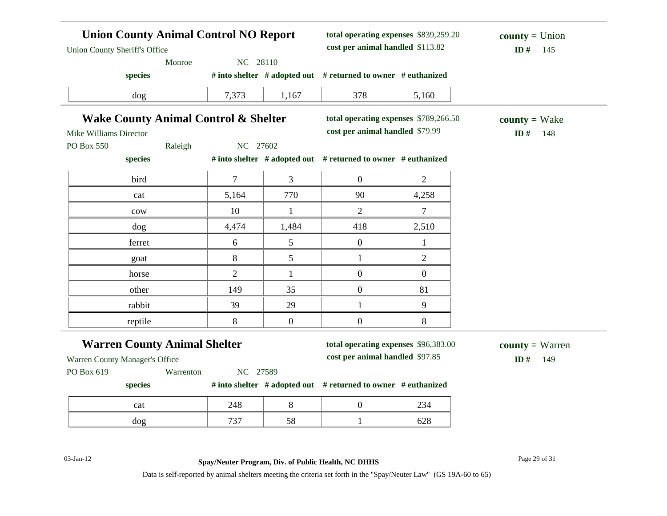| <b>Union County Animal Control NO Report</b><br><b>Union County Sheriff's Office</b> |                |                                 | total operating expenses \$839,259.20<br>cost per animal handled \$113.82 |                | $county = Union$<br>ID#<br>145 |
|--------------------------------------------------------------------------------------|----------------|---------------------------------|---------------------------------------------------------------------------|----------------|--------------------------------|
| Monroe                                                                               | NC 28110       |                                 |                                                                           |                |                                |
| species                                                                              |                |                                 | # into shelter # adopted out # returned to owner # euthanized             |                |                                |
| dog                                                                                  | 7,373          | 1,167                           | 378                                                                       | 5,160          |                                |
| <b>Wake County Animal Control &amp; Shelter</b>                                      |                |                                 | total operating expenses \$789,266.50                                     |                | $county = Wake$                |
| Mike Williams Director                                                               |                |                                 | cost per animal handled \$79.99                                           |                | ID#<br>148                     |
| PO Box 550<br>Raleigh                                                                | NC 27602       |                                 |                                                                           |                |                                |
| species                                                                              |                |                                 | # into shelter # adopted out # returned to owner # euthanized             |                |                                |
| bird                                                                                 | $\tau$         | 3                               | $\mathbf{0}$                                                              | 2              |                                |
| cat                                                                                  | 5,164          | 770                             | 90                                                                        | 4,258          |                                |
| cow                                                                                  | 10             | 1                               | $\overline{2}$                                                            | 7              |                                |
| dog                                                                                  | 4,474          | 1,484                           | 418                                                                       | 2,510          |                                |
| ferret                                                                               | 6              | 5                               | $\boldsymbol{0}$                                                          | $\mathbf{1}$   |                                |
| goat                                                                                 | 8              | 5                               | $\mathbf{1}$                                                              | $\overline{2}$ |                                |
| horse                                                                                | $\overline{2}$ | 1                               | $\boldsymbol{0}$                                                          | $\overline{0}$ |                                |
| other                                                                                | 149            | 35                              | $\overline{0}$                                                            | 81             |                                |
| rabbit                                                                               | 39             | 29                              | $\mathbf{1}$                                                              | 9              |                                |
| reptile                                                                              | $8\,$          | $\boldsymbol{0}$                | $\boldsymbol{0}$                                                          | $8\,$          |                                |
| <b>Warren County Animal Shelter</b>                                                  |                |                                 | total operating expenses \$96,383.00                                      |                | $county = Warren$              |
| Warren County Manager's Office                                                       |                | cost per animal handled \$97.85 |                                                                           | ID#<br>149     |                                |
| PO Box 619<br>Warrenton                                                              | NC 27589       |                                 |                                                                           |                |                                |
| species                                                                              |                |                                 | # into shelter # adopted out # returned to owner # euthanized             |                |                                |
| cat                                                                                  | 248            | 8                               | $\boldsymbol{0}$                                                          | 234            |                                |
| dog                                                                                  | 737            | 58                              | $\mathbf{1}$                                                              | 628            |                                |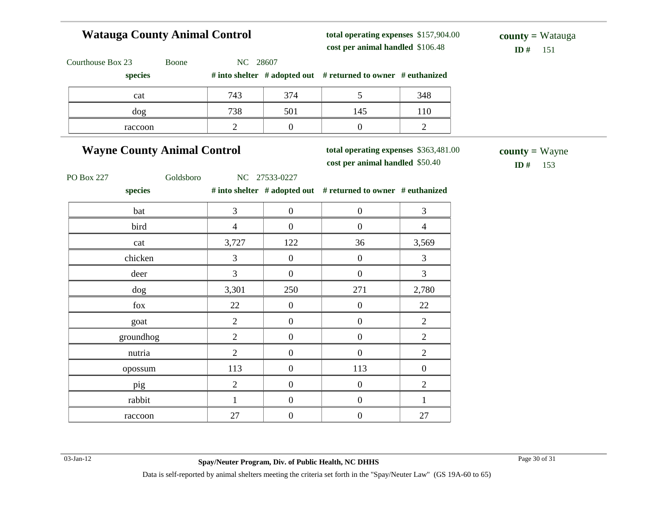# **Watauga County Animal Control**

**total operating expenses** \$157,904.00 **cost per animal handled** \$106.48 **ID #** 151

**county =** Watauga

| Courthouse Box 23<br>Boone         | NC 28607       |                  |                                                                          |                  |                                |
|------------------------------------|----------------|------------------|--------------------------------------------------------------------------|------------------|--------------------------------|
| species                            |                |                  | # into shelter # adopted out # returned to owner # euthanized            |                  |                                |
| cat                                | 743            | 374              | 5                                                                        | 348              |                                |
| dog                                | 738            | 501              | 145                                                                      | 110              |                                |
| raccoon                            | $\overline{2}$ | $\boldsymbol{0}$ | $\boldsymbol{0}$                                                         | $\mathbf{2}$     |                                |
| <b>Wayne County Animal Control</b> |                |                  | total operating expenses \$363,481.00<br>cost per animal handled \$50.40 |                  | $county = Wayne$<br>ID#<br>153 |
| Goldsboro<br><b>PO Box 227</b>     |                | NC 27533-0227    |                                                                          |                  |                                |
| species                            |                |                  | # into shelter # adopted out # returned to owner # euthanized            |                  |                                |
| bat                                | $\overline{3}$ | $\overline{0}$   | $\overline{0}$                                                           | 3                |                                |
| bird                               | $\overline{4}$ | $\boldsymbol{0}$ | $\boldsymbol{0}$                                                         | $\overline{4}$   |                                |
| cat                                | 3,727          | 122              | 36                                                                       | 3,569            |                                |
| chicken                            | 3              | $\boldsymbol{0}$ | $\boldsymbol{0}$                                                         | 3                |                                |
| deer                               | $\overline{3}$ | $\mathbf{0}$     | $\boldsymbol{0}$                                                         | 3                |                                |
| dog                                | 3,301          | 250              | 271                                                                      | 2,780            |                                |
| fox                                | 22             | $\overline{0}$   | $\boldsymbol{0}$                                                         | 22               |                                |
| goat                               | $\overline{2}$ | $\overline{0}$   | $\boldsymbol{0}$                                                         | $\overline{2}$   |                                |
| groundhog                          | $\sqrt{2}$     | $\boldsymbol{0}$ | $\boldsymbol{0}$                                                         | $\mathbf{2}$     |                                |
| nutria                             | $\overline{2}$ | $\mathbf{0}$     | $\mathbf{0}$                                                             | $\overline{2}$   |                                |
| opossum                            | 113            | $\overline{0}$   | 113                                                                      | $\boldsymbol{0}$ |                                |
| pig                                | $\overline{2}$ | $\boldsymbol{0}$ | $\boldsymbol{0}$                                                         | $\overline{2}$   |                                |
| rabbit                             | $\mathbf{1}$   | $\boldsymbol{0}$ | $\boldsymbol{0}$                                                         | $\mathbf{1}$     |                                |
| raccoon                            | 27             | $\boldsymbol{0}$ | $\boldsymbol{0}$                                                         | 27               |                                |